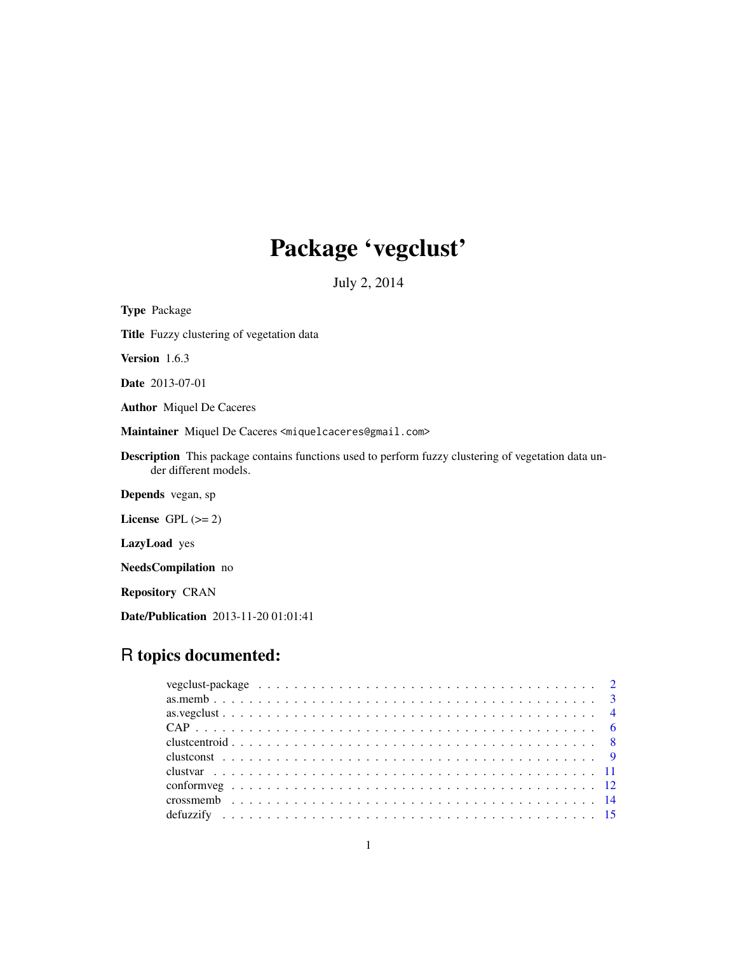# Package 'vegclust'

July 2, 2014

<span id="page-0-0"></span>Type Package Title Fuzzy clustering of vegetation data Version 1.6.3 Date 2013-07-01 Author Miquel De Caceres Maintainer Miquel De Caceres <miquelcaceres@gmail.com> Description This package contains functions used to perform fuzzy clustering of vegetation data under different models. Depends vegan, sp License GPL  $(>= 2)$ LazyLoad yes NeedsCompilation no Repository CRAN

Date/Publication 2013-11-20 01:01:41

# R topics documented: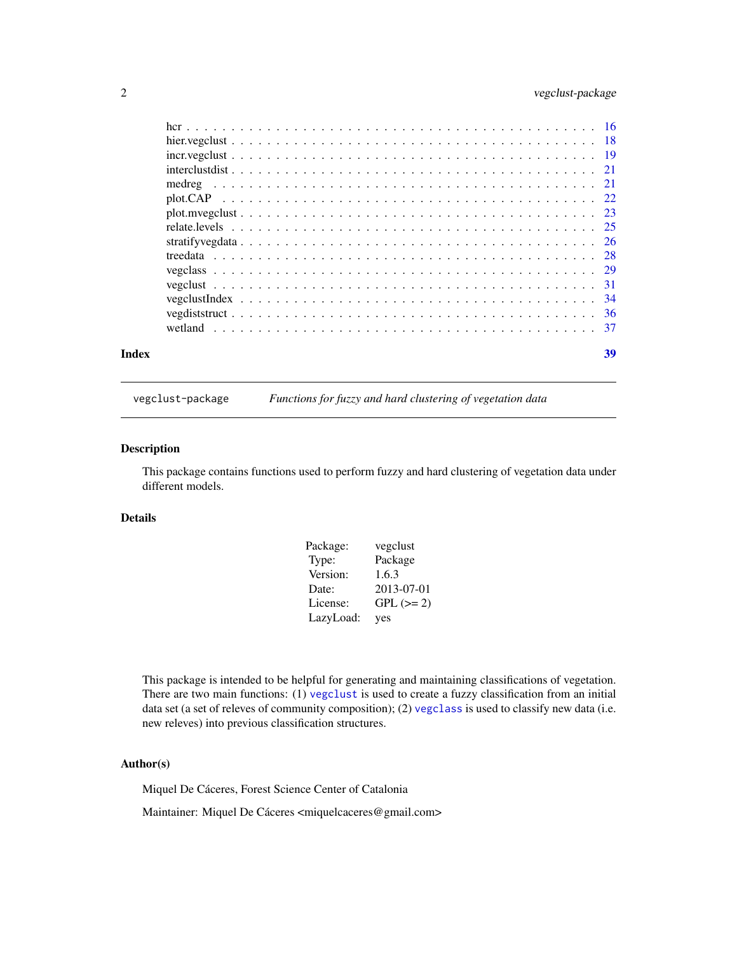# <span id="page-1-0"></span>2 vegclust-package

| Index |  |  |  |  |  |  |  |  |  |  |  |  |  |  |  |  | 39 |
|-------|--|--|--|--|--|--|--|--|--|--|--|--|--|--|--|--|----|

vegclust-package *Functions for fuzzy and hard clustering of vegetation data*

# Description

This package contains functions used to perform fuzzy and hard clustering of vegetation data under different models.

#### Details

| Package:  | vegclust    |
|-----------|-------------|
| Type:     | Package     |
| Version:  | 1.6.3       |
| Date:     | 2013-07-01  |
| License:  | $GPL (= 2)$ |
| LazyLoad: | yes         |

This package is intended to be helpful for generating and maintaining classifications of vegetation. There are two main functions: (1) [vegclust](#page-30-1) is used to create a fuzzy classification from an initial data set (a set of releves of community composition); (2) [vegclass](#page-28-1) is used to classify new data (i.e. new releves) into previous classification structures.

# Author(s)

Miquel De Cáceres, Forest Science Center of Catalonia

Maintainer: Miquel De Cáceres <miquelcaceres@gmail.com>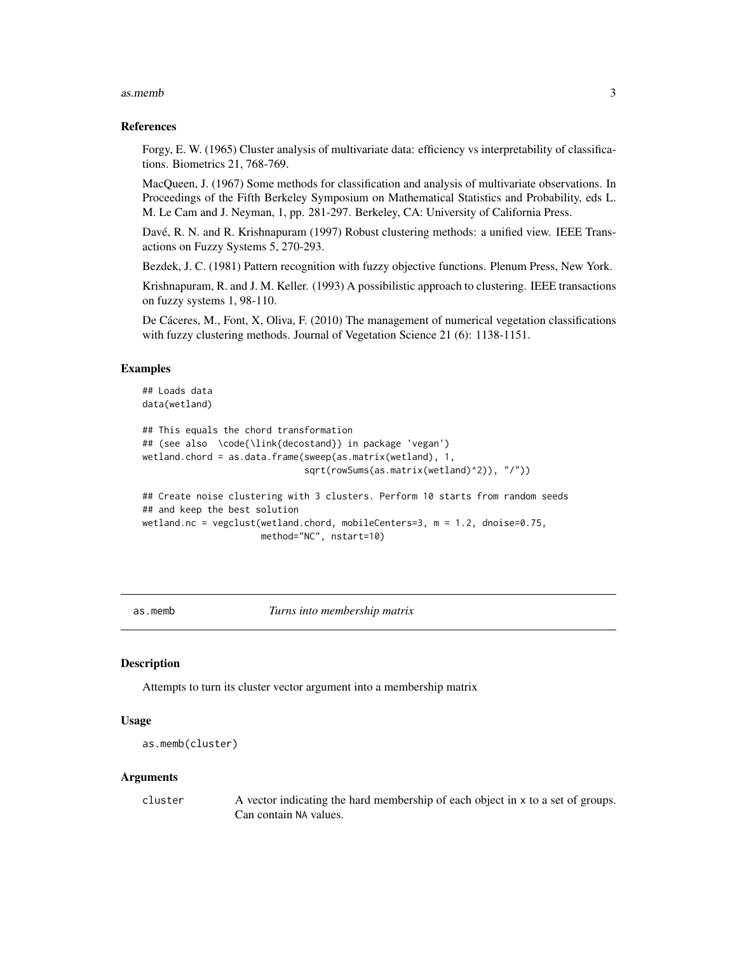#### <span id="page-2-0"></span>as.memb 3

#### References

Forgy, E. W. (1965) Cluster analysis of multivariate data: efficiency vs interpretability of classifications. Biometrics 21, 768-769.

MacQueen, J. (1967) Some methods for classification and analysis of multivariate observations. In Proceedings of the Fifth Berkeley Symposium on Mathematical Statistics and Probability, eds L. M. Le Cam and J. Neyman, 1, pp. 281-297. Berkeley, CA: University of California Press.

Davé, R. N. and R. Krishnapuram (1997) Robust clustering methods: a unified view. IEEE Transactions on Fuzzy Systems 5, 270-293.

Bezdek, J. C. (1981) Pattern recognition with fuzzy objective functions. Plenum Press, New York.

Krishnapuram, R. and J. M. Keller. (1993) A possibilistic approach to clustering. IEEE transactions on fuzzy systems 1, 98-110.

De Cáceres, M., Font, X, Oliva, F. (2010) The management of numerical vegetation classifications with fuzzy clustering methods. Journal of Vegetation Science 21 (6): 1138-1151.

#### Examples

#### ## Loads data data(wetland)

```
## This equals the chord transformation
## (see also \code{\link{decostand}} in package 'vegan')
wetland.chord = as.data.frame(sweep(as.matrix(wetland), 1,
                              sqrt(rowSums(as.matrix(wetland)^2)), "/"))
```
## Create noise clustering with 3 clusters. Perform 10 starts from random seeds ## and keep the best solution wetland.nc = vegclust(wetland.chord, mobileCenters=3, m = 1.2, dnoise=0.75, method="NC", nstart=10)

as.memb *Turns into membership matrix*

#### Description

Attempts to turn its cluster vector argument into a membership matrix

#### Usage

```
as.memb(cluster)
```
#### Arguments

cluster A vector indicating the hard membership of each object in x to a set of groups. Can contain NA values.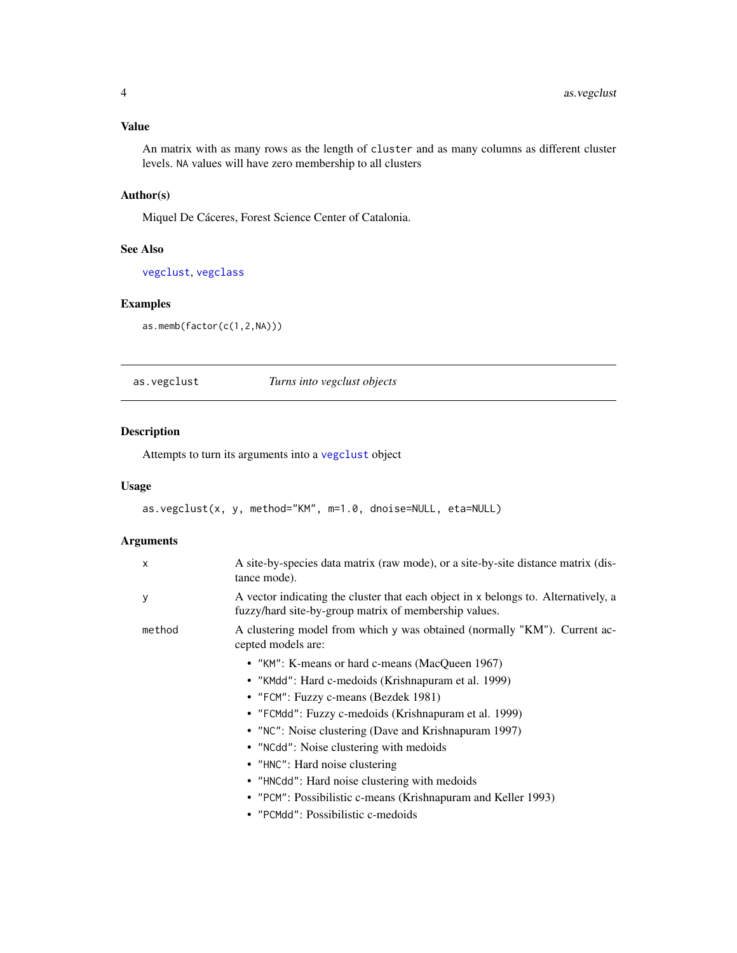<span id="page-3-0"></span>An matrix with as many rows as the length of cluster and as many columns as different cluster levels. NA values will have zero membership to all clusters

# Author(s)

Miquel De Cáceres, Forest Science Center of Catalonia.

# See Also

[vegclust](#page-30-1), [vegclass](#page-28-1)

# Examples

as.memb(factor(c(1,2,NA)))

<span id="page-3-1"></span>as.vegclust *Turns into vegclust objects*

#### Description

Attempts to turn its arguments into a [vegclust](#page-30-1) object

# Usage

```
as.vegclust(x, y, method="KM", m=1.0, dnoise=NULL, eta=NULL)
```
# Arguments

| $\mathsf{x}$ | A site-by-species data matrix (raw mode), or a site-by-site distance matrix (dis-<br>tance mode).                                           |
|--------------|---------------------------------------------------------------------------------------------------------------------------------------------|
| У            | A vector indicating the cluster that each object in x belongs to. Alternatively, a<br>fuzzy/hard site-by-group matrix of membership values. |
| method       | A clustering model from which y was obtained (normally "KM"). Current ac-<br>cepted models are:                                             |
|              | • "KM": K-means or hard c-means (MacQueen 1967)                                                                                             |
|              | • "KMdd": Hard c-medoids (Krishnapuram et al. 1999)                                                                                         |
|              | • "FCM": Fuzzy c-means (Bezdek 1981)                                                                                                        |
|              | • "FCMdd": Fuzzy c-medoids (Krishnapuram et al. 1999)                                                                                       |
|              | • "NC": Noise clustering (Dave and Krishnapuram 1997)                                                                                       |
|              | • "NCdd": Noise clustering with medoids                                                                                                     |
|              | • "HNC": Hard noise clustering                                                                                                              |
|              | • "HNCdd": Hard noise clustering with medoids                                                                                               |
|              | • "PCM": Possibilistic c-means (Krishnapuram and Keller 1993)                                                                               |
|              | • "PCMdd": Possibilistic c-medoids                                                                                                          |
|              |                                                                                                                                             |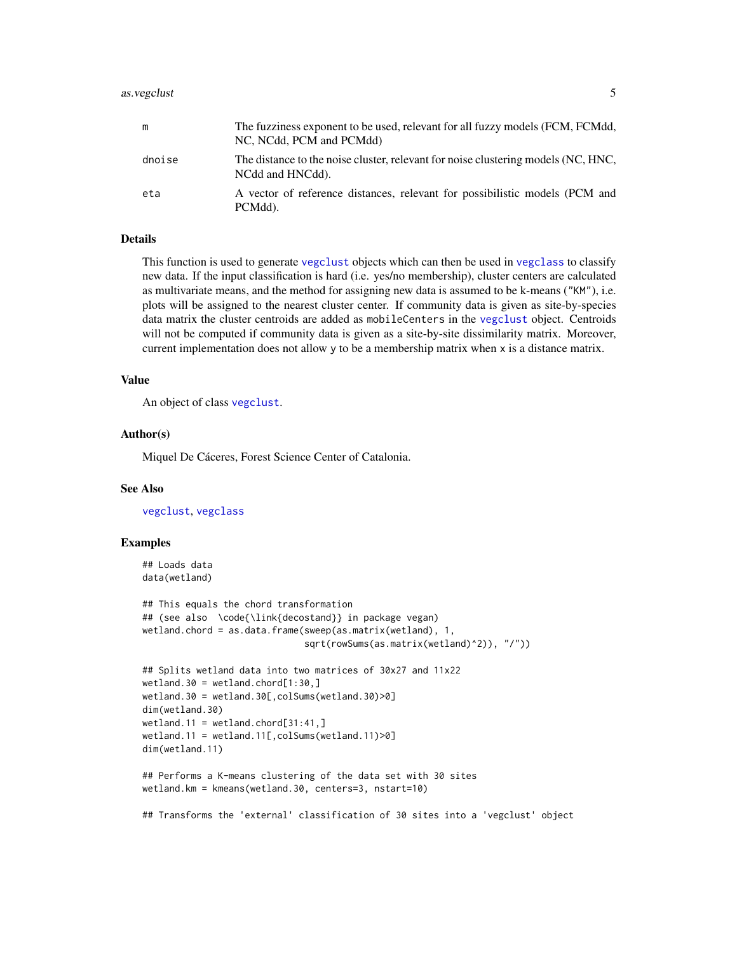#### <span id="page-4-0"></span>as.vegclust 5

| m      | The fuzziness exponent to be used, relevant for all fuzzy models (FCM, FCMdd,<br>NC, NCdd, PCM and PCMdd) |
|--------|-----------------------------------------------------------------------------------------------------------|
| dnoise | The distance to the noise cluster, relevant for noise clustering models (NC, HNC,<br>NCdd and HNCdd).     |
| eta    | A vector of reference distances, relevant for possibilistic models (PCM and<br>PCMdd).                    |

# Details

This function is used to generate [vegclust](#page-30-1) objects which can then be used in [vegclass](#page-28-1) to classify new data. If the input classification is hard (i.e. yes/no membership), cluster centers are calculated as multivariate means, and the method for assigning new data is assumed to be k-means ("KM"), i.e. plots will be assigned to the nearest cluster center. If community data is given as site-by-species data matrix the cluster centroids are added as mobileCenters in the [vegclust](#page-30-1) object. Centroids will not be computed if community data is given as a site-by-site dissimilarity matrix. Moreover, current implementation does not allow y to be a membership matrix when x is a distance matrix.

#### Value

An object of class [vegclust](#page-30-1).

#### Author(s)

Miquel De Cáceres, Forest Science Center of Catalonia.

#### See Also

[vegclust](#page-30-1), [vegclass](#page-28-1)

```
## Loads data
data(wetland)
## This equals the chord transformation
## (see also \code{\link{decostand}} in package vegan)
wetland.chord = as.data.frame(sweep(as.matrix(wetland), 1,
                              sqrt(rowSums(as.matrix(wetland)^2)), "/"))
## Splits wetland data into two matrices of 30x27 and 11x22
wetland.30 = wetland.chord[1:30, ]wetland.30 = wetland.30[,colSums(wetland.30)>0]
dim(wetland.30)
wetland.11 = wetland.chord[31:41, ]wetland.11 = wetland.11[,colSums(wetland.11)>0]
dim(wetland.11)
## Performs a K-means clustering of the data set with 30 sites
wetland.km = kmeans(wetland.30, centers=3, nstart=10)
## Transforms the 'external' classification of 30 sites into a 'vegclust' object
```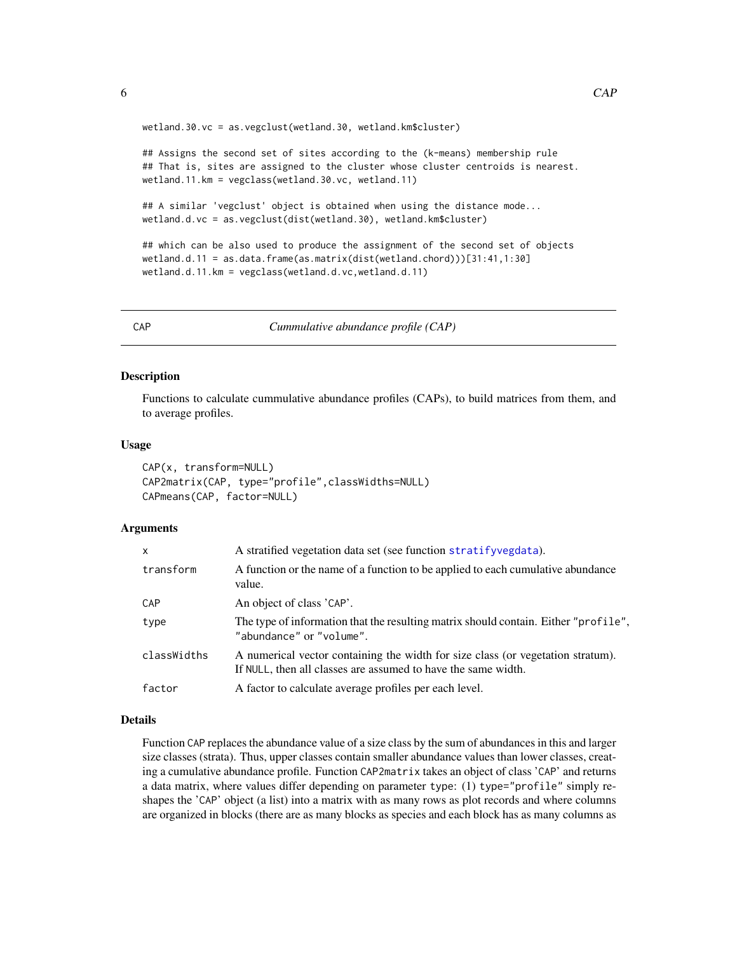wetland.30.vc = as.vegclust(wetland.30, wetland.km\$cluster)

## Assigns the second set of sites according to the (k-means) membership rule ## That is, sites are assigned to the cluster whose cluster centroids is nearest. wetland.11.km = vegclass(wetland.30.vc, wetland.11)

## A similar 'vegclust' object is obtained when using the distance mode... wetland.d.vc = as.vegclust(dist(wetland.30), wetland.km\$cluster)

```
## which can be also used to produce the assignment of the second set of objects
wetland.d.11 = as.data.frame(as.matrix(dist(wetland.chord)))[31:41,1:30]
wetland.d.11.km = vegclass(wetland.d.vc,wetland.d.11)
```
<span id="page-5-1"></span>CAP *Cummulative abundance profile (CAP)*

# **Description**

Functions to calculate cummulative abundance profiles (CAPs), to build matrices from them, and to average profiles.

#### Usage

```
CAP(x, transform=NULL)
CAP2matrix(CAP, type="profile",classWidths=NULL)
CAPmeans(CAP, factor=NULL)
```
#### **Arguments**

| $\mathsf{x}$ | A stratified vegetation data set (see function stratifyvegdata).                                                                                 |
|--------------|--------------------------------------------------------------------------------------------------------------------------------------------------|
| transform    | A function or the name of a function to be applied to each cumulative abundance<br>value.                                                        |
| <b>CAP</b>   | An object of class 'CAP'.                                                                                                                        |
| type         | The type of information that the resulting matrix should contain. Either "profile",<br>"abundance" or "volume".                                  |
| classWidths  | A numerical vector containing the width for size class (or vegetation stratum).<br>If NULL, then all classes are assumed to have the same width. |
| factor       | A factor to calculate average profiles per each level.                                                                                           |
|              |                                                                                                                                                  |

#### Details

Function CAP replaces the abundance value of a size class by the sum of abundances in this and larger size classes (strata). Thus, upper classes contain smaller abundance values than lower classes, creating a cumulative abundance profile. Function CAP2matrix takes an object of class 'CAP' and returns a data matrix, where values differ depending on parameter type: (1) type="profile" simply reshapes the 'CAP' object (a list) into a matrix with as many rows as plot records and where columns are organized in blocks (there are as many blocks as species and each block has as many columns as

<span id="page-5-0"></span>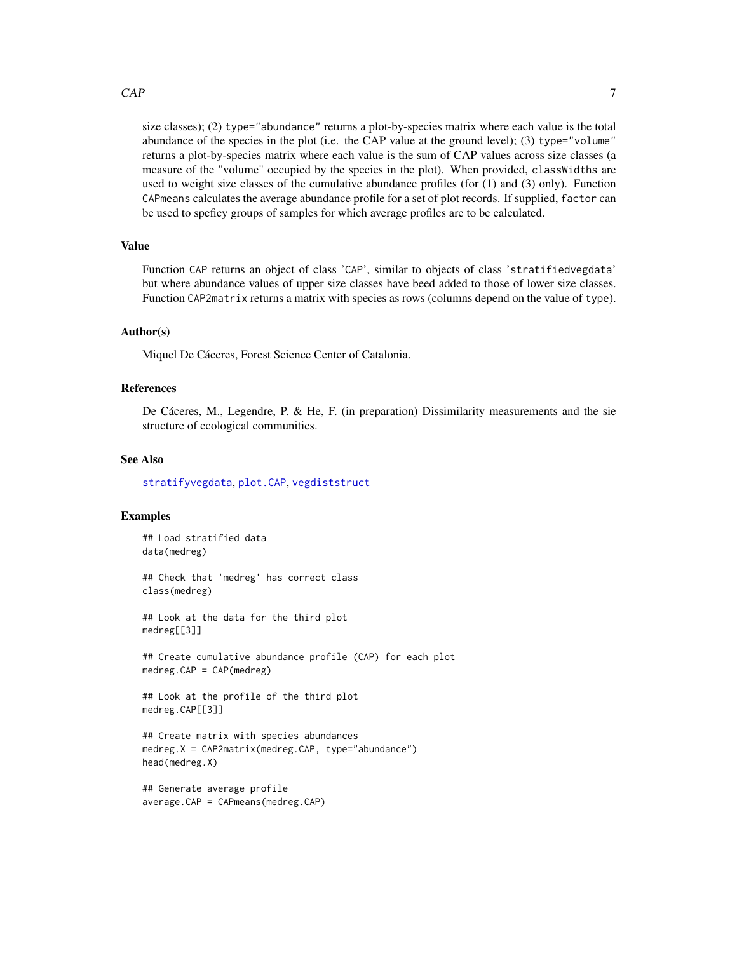### <span id="page-6-0"></span> $CAP$  2.1 The set of the set of the set of the set of the set of the set of the set of the set of the set of the set of the set of the set of the set of the set of the set of the set of the set of the set of the set of the

size classes); (2) type="abundance" returns a plot-by-species matrix where each value is the total abundance of the species in the plot (i.e. the CAP value at the ground level); (3) type="volume" returns a plot-by-species matrix where each value is the sum of CAP values across size classes (a measure of the "volume" occupied by the species in the plot). When provided, classWidths are used to weight size classes of the cumulative abundance profiles (for  $(1)$  and  $(3)$  only). Function CAPmeans calculates the average abundance profile for a set of plot records. If supplied, factor can be used to speficy groups of samples for which average profiles are to be calculated.

# Value

Function CAP returns an object of class 'CAP', similar to objects of class 'stratifiedvegdata' but where abundance values of upper size classes have beed added to those of lower size classes. Function CAP2matrix returns a matrix with species as rows (columns depend on the value of type).

#### Author(s)

Miquel De Cáceres, Forest Science Center of Catalonia.

#### References

De Cáceres, M., Legendre, P. & He, F. (in preparation) Dissimilarity measurements and the sie structure of ecological communities.

#### See Also

[stratifyvegdata](#page-25-1), [plot.CAP](#page-21-1), [vegdiststruct](#page-35-1)

# Examples

## Load stratified data data(medreg)

## Check that 'medreg' has correct class class(medreg)

## Look at the data for the third plot medreg[[3]]

## Create cumulative abundance profile (CAP) for each plot medreg.CAP = CAP(medreg)

```
## Look at the profile of the third plot
medreg.CAP[[3]]
```

```
## Create matrix with species abundances
medreg.X = CAP2matrix(medreg.CAP, type="abundance")
head(medreg.X)
```

```
## Generate average profile
average.CAP = CAPmeans(medreg.CAP)
```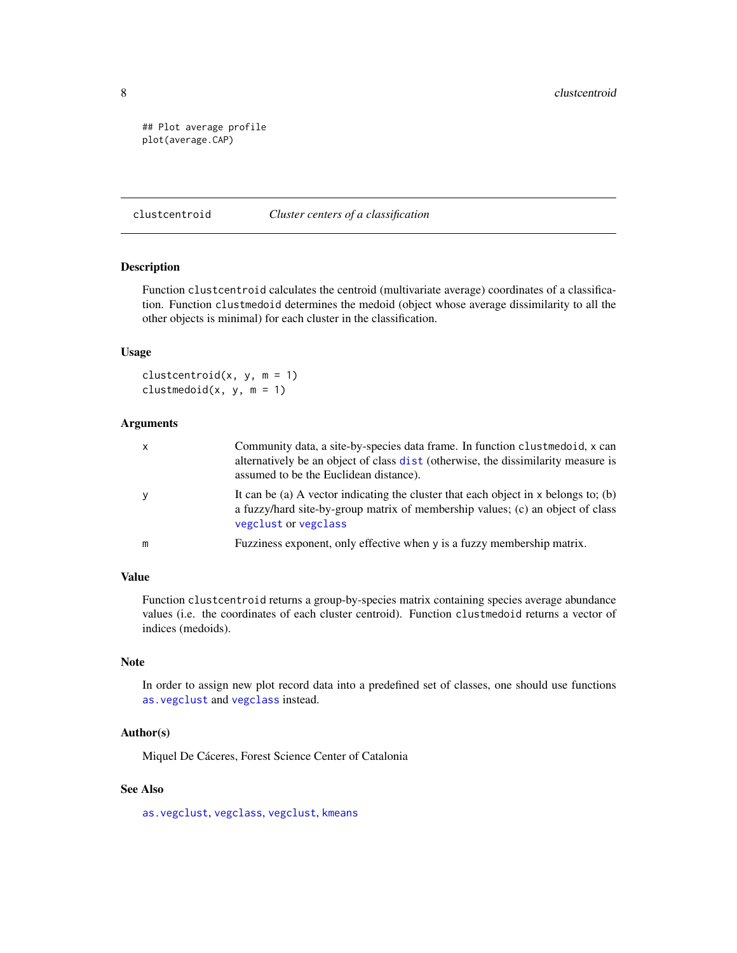```
## Plot average profile
plot(average.CAP)
```
#### clustcentroid *Cluster centers of a classification*

# Description

Function clustcentroid calculates the centroid (multivariate average) coordinates of a classification. Function clustmedoid determines the medoid (object whose average dissimilarity to all the other objects is minimal) for each cluster in the classification.

#### Usage

clustcentroid $(x, y, m = 1)$ clustmedoid $(x, y, m = 1)$ 

# Arguments

| $\mathsf{x}$ | Community data, a site-by-species data frame. In function clust medoid, x can<br>alternatively be an object of class dist (otherwise, the dissimilarity measure is<br>assumed to be the Euclidean distance). |
|--------------|--------------------------------------------------------------------------------------------------------------------------------------------------------------------------------------------------------------|
| У            | It can be (a) A vector indicating the cluster that each object in $x$ belongs to; (b)<br>a fuzzy/hard site-by-group matrix of membership values; (c) an object of class<br>vegclust or vegclass              |
| m            | Fuzziness exponent, only effective when y is a fuzzy membership matrix.                                                                                                                                      |

#### Value

Function clustcentroid returns a group-by-species matrix containing species average abundance values (i.e. the coordinates of each cluster centroid). Function clustmedoid returns a vector of indices (medoids).

# Note

In order to assign new plot record data into a predefined set of classes, one should use functions [as.vegclust](#page-3-1) and [vegclass](#page-28-1) instead.

#### Author(s)

Miquel De Cáceres, Forest Science Center of Catalonia

# See Also

[as.vegclust](#page-3-1), [vegclass](#page-28-1), [vegclust](#page-30-1), [kmeans](#page-0-0)

<span id="page-7-0"></span>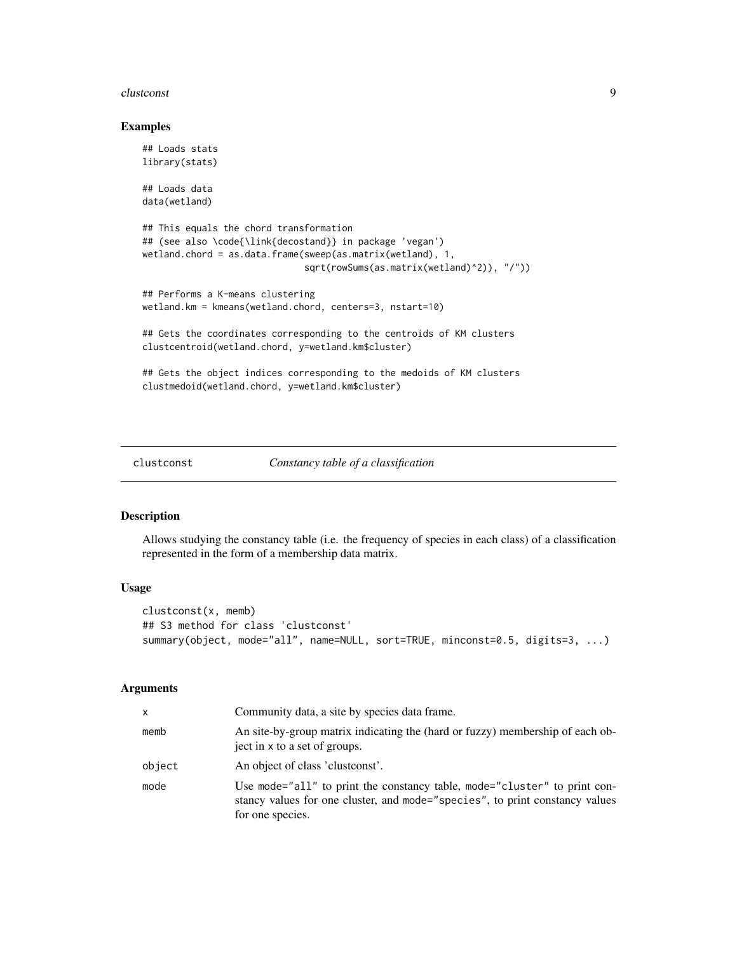#### <span id="page-8-0"></span>clustconst  $\sim$  9

#### Examples

```
## Loads stats
library(stats)
## Loads data
data(wetland)
## This equals the chord transformation
## (see also \code{\link{decostand}} in package 'vegan')
wetland.chord = as.data.frame(sweep(as.matrix(wetland), 1,
                              sqrt(rowSums(as.matrix(wetland)^2)), "/"))
## Performs a K-means clustering
wetland.km = kmeans(wetland.chord, centers=3, nstart=10)
## Gets the coordinates corresponding to the centroids of KM clusters
clustcentroid(wetland.chord, y=wetland.km$cluster)
## Gets the object indices corresponding to the medoids of KM clusters
clustmedoid(wetland.chord, y=wetland.km$cluster)
```
#### clustconst *Constancy table of a classification*

# Description

Allows studying the constancy table (i.e. the frequency of species in each class) of a classification represented in the form of a membership data matrix.

#### Usage

```
clustconst(x, memb)
## S3 method for class 'clustconst'
summary(object, mode="all", name=NULL, sort=TRUE, minconst=0.5, digits=3, ...)
```
#### Arguments

| x      | Community data, a site by species data frame.                                                                                                                                 |
|--------|-------------------------------------------------------------------------------------------------------------------------------------------------------------------------------|
| memb   | An site-by-group matrix indicating the (hard or fuzzy) membership of each ob-<br>ject in x to a set of groups.                                                                |
| object | An object of class 'clustconst'.                                                                                                                                              |
| mode   | Use mode="all" to print the constancy table, mode="cluster" to print con-<br>stancy values for one cluster, and mode="species", to print constancy values<br>for one species. |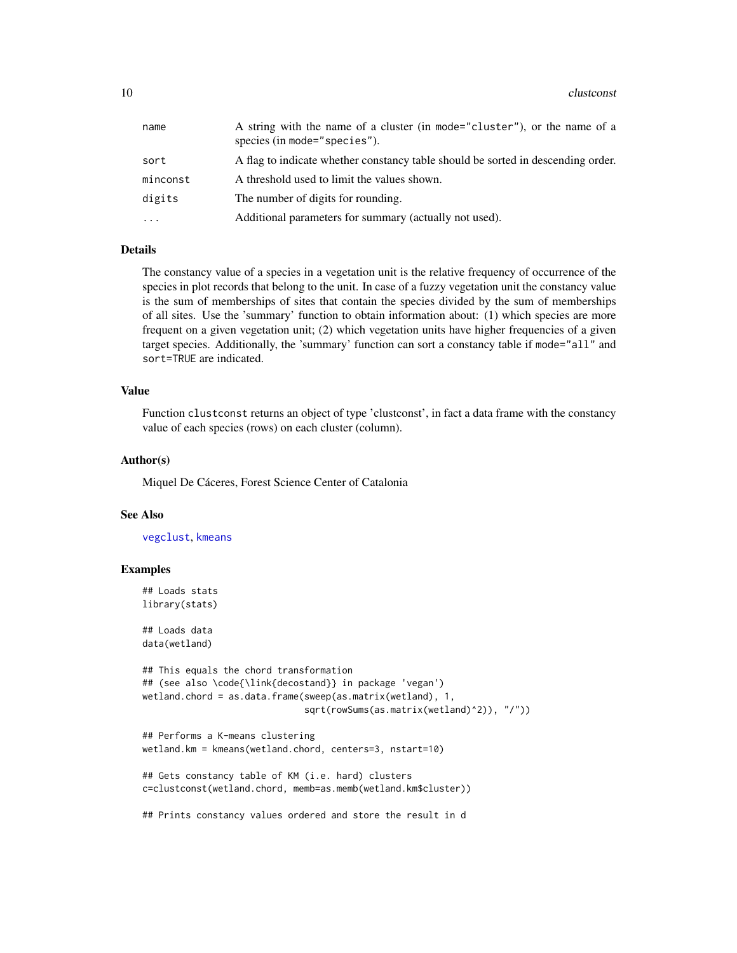<span id="page-9-0"></span>

| name      | A string with the name of a cluster (in mode="cluster"), or the name of a<br>species (in mode="species"). |
|-----------|-----------------------------------------------------------------------------------------------------------|
| sort      | A flag to indicate whether constancy table should be sorted in descending order.                          |
| minconst  | A threshold used to limit the values shown.                                                               |
| digits    | The number of digits for rounding.                                                                        |
| $\ddotsc$ | Additional parameters for summary (actually not used).                                                    |

#### Details

The constancy value of a species in a vegetation unit is the relative frequency of occurrence of the species in plot records that belong to the unit. In case of a fuzzy vegetation unit the constancy value is the sum of memberships of sites that contain the species divided by the sum of memberships of all sites. Use the 'summary' function to obtain information about: (1) which species are more frequent on a given vegetation unit; (2) which vegetation units have higher frequencies of a given target species. Additionally, the 'summary' function can sort a constancy table if mode="all" and sort=TRUE are indicated.

# Value

Function clustconst returns an object of type 'clustconst', in fact a data frame with the constancy value of each species (rows) on each cluster (column).

#### Author(s)

Miquel De Cáceres, Forest Science Center of Catalonia

#### See Also

[vegclust](#page-30-1), [kmeans](#page-0-0)

```
## Loads stats
library(stats)
## Loads data
data(wetland)
## This equals the chord transformation
## (see also \code{\link{decostand}} in package 'vegan')
wetland.chord = as.data.frame(sweep(as.matrix(wetland), 1,
                              sqrt(rowSums(as.matrix(wetland)^2)), "/"))
## Performs a K-means clustering
wetland.km = kmeans(wetland.chord, centers=3, nstart=10)
## Gets constancy table of KM (i.e. hard) clusters
c=clustconst(wetland.chord, memb=as.memb(wetland.km$cluster))
## Prints constancy values ordered and store the result in d
```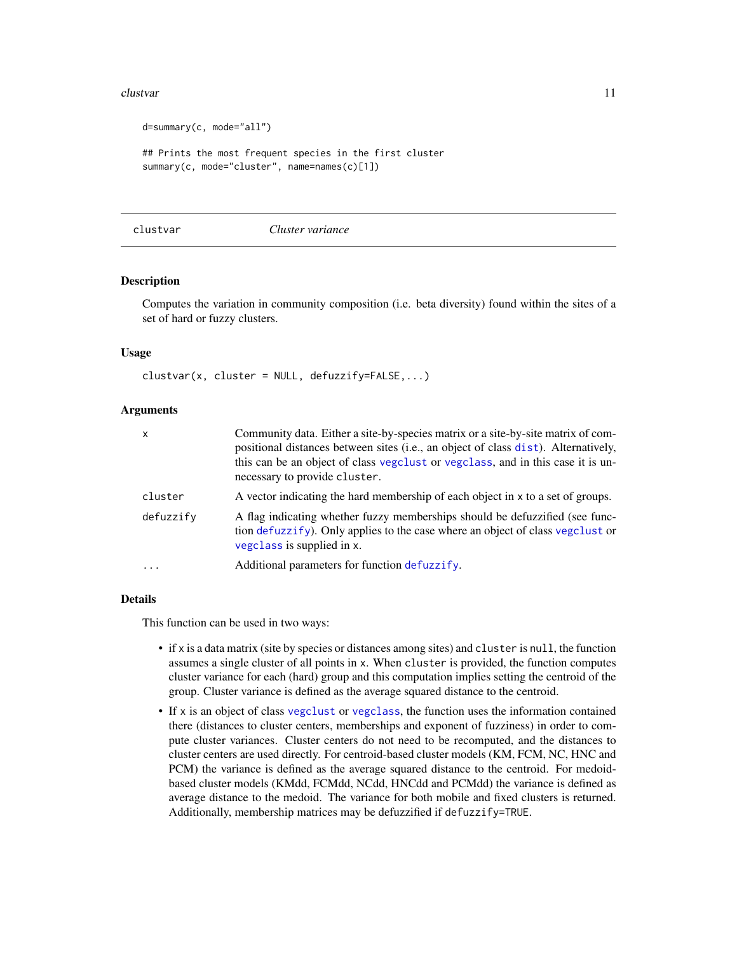#### <span id="page-10-0"></span>clustvar and the contract of the contract of the contract of the contract of the contract of the contract of the contract of the contract of the contract of the contract of the contract of the contract of the contract of t

```
d=summary(c, mode="all")
## Prints the most frequent species in the first cluster
summary(c, mode="cluster", name=names(c)[1])
```
<span id="page-10-1"></span>clustvar *Cluster variance*

#### Description

Computes the variation in community composition (i.e. beta diversity) found within the sites of a set of hard or fuzzy clusters.

#### Usage

 $cluster = NULL, defuzzify=False, ...$ 

#### Arguments

| x         | Community data. Either a site-by-species matrix or a site-by-site matrix of com-<br>positional distances between sites (i.e., an object of class dist). Alternatively,<br>this can be an object of class vegetlest or vegetlass, and in this case it is un-<br>necessary to provide cluster. |
|-----------|----------------------------------------------------------------------------------------------------------------------------------------------------------------------------------------------------------------------------------------------------------------------------------------------|
| cluster   | A vector indicating the hard membership of each object in x to a set of groups.                                                                                                                                                                                                              |
| defuzzify | A flag indicating whether fuzzy memberships should be defuzzified (see func-<br>tion defuzzify). Only applies to the case where an object of class vegclust or<br>vegclass is supplied in x.                                                                                                 |
| .         | Additional parameters for function defuzzify.                                                                                                                                                                                                                                                |

#### Details

This function can be used in two ways:

- if x is a data matrix (site by species or distances among sites) and cluster is null, the function assumes a single cluster of all points in x. When cluster is provided, the function computes cluster variance for each (hard) group and this computation implies setting the centroid of the group. Cluster variance is defined as the average squared distance to the centroid.
- If x is an object of class [vegclust](#page-30-1) or [vegclass](#page-28-1), the function uses the information contained there (distances to cluster centers, memberships and exponent of fuzziness) in order to compute cluster variances. Cluster centers do not need to be recomputed, and the distances to cluster centers are used directly. For centroid-based cluster models (KM, FCM, NC, HNC and PCM) the variance is defined as the average squared distance to the centroid. For medoidbased cluster models (KMdd, FCMdd, NCdd, HNCdd and PCMdd) the variance is defined as average distance to the medoid. The variance for both mobile and fixed clusters is returned. Additionally, membership matrices may be defuzzified if defuzzify=TRUE.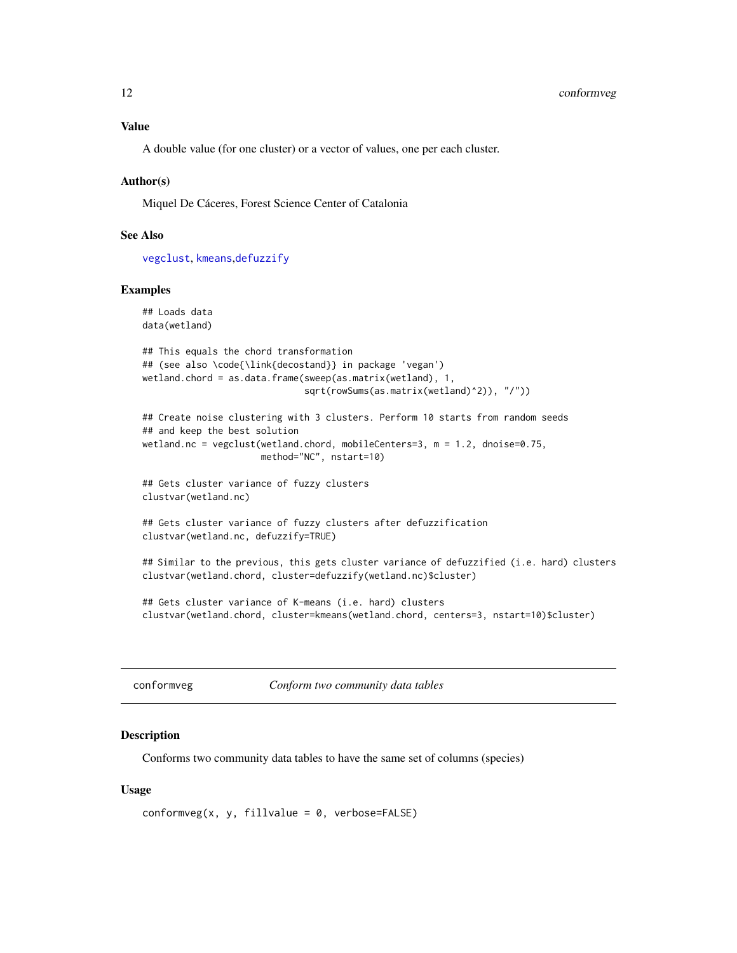# <span id="page-11-0"></span>Value

A double value (for one cluster) or a vector of values, one per each cluster.

#### Author(s)

Miquel De Cáceres, Forest Science Center of Catalonia

#### See Also

[vegclust](#page-30-1), [kmeans](#page-0-0),[defuzzify](#page-14-1)

### Examples

## Loads data data(wetland)

```
## This equals the chord transformation
## (see also \code{\link{decostand}} in package 'vegan')
wetland.chord = as.data.frame(sweep(as.matrix(wetland), 1,
                              sqrt(rowSums(as.matrix(wetland)^2)), "/"))
```

```
## Create noise clustering with 3 clusters. Perform 10 starts from random seeds
## and keep the best solution
wetland.nc = vegclust(wetland.chord, mobileCenters=3, m = 1.2, dnoise=0.75,
                     method="NC", nstart=10)
```

```
## Gets cluster variance of fuzzy clusters
clustvar(wetland.nc)
```

```
## Gets cluster variance of fuzzy clusters after defuzzification
clustvar(wetland.nc, defuzzify=TRUE)
```
## Similar to the previous, this gets cluster variance of defuzzified (i.e. hard) clusters clustvar(wetland.chord, cluster=defuzzify(wetland.nc)\$cluster)

## Gets cluster variance of K-means (i.e. hard) clusters clustvar(wetland.chord, cluster=kmeans(wetland.chord, centers=3, nstart=10)\$cluster)

<span id="page-11-1"></span>conformveg *Conform two community data tables*

#### Description

Conforms two community data tables to have the same set of columns (species)

#### Usage

```
conformveg(x, y, fillvalue = 0, verbose=False)
```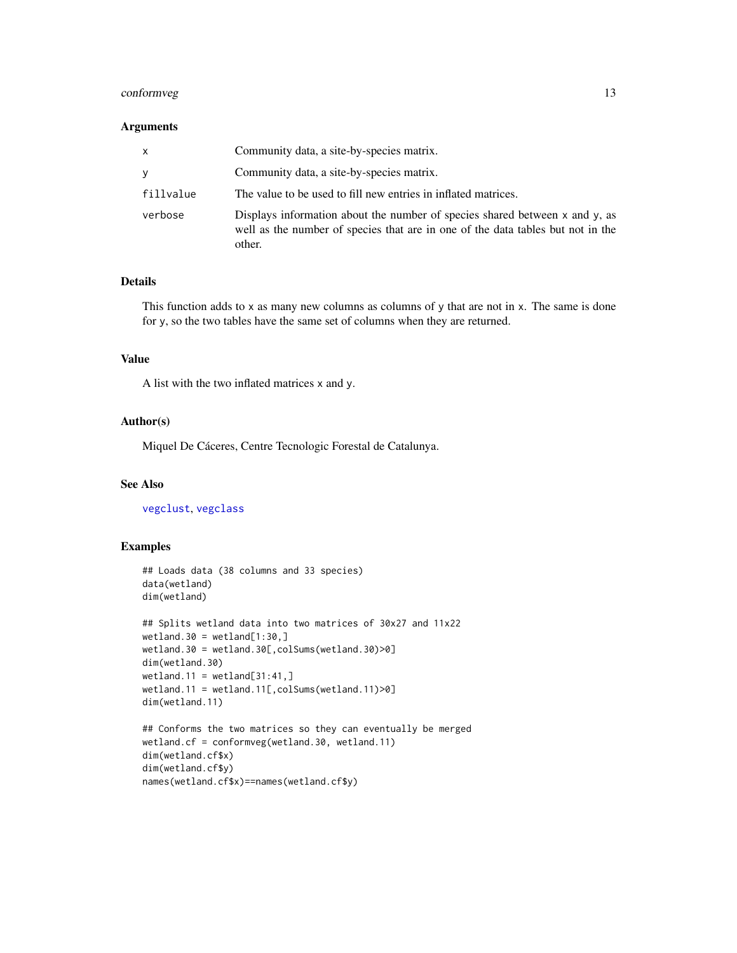# <span id="page-12-0"></span>conformveg that the conformveg that the contract  $\sim$  13

# Arguments

| x         | Community data, a site-by-species matrix.                                                                                                                                |
|-----------|--------------------------------------------------------------------------------------------------------------------------------------------------------------------------|
| v         | Community data, a site-by-species matrix.                                                                                                                                |
| fillvalue | The value to be used to fill new entries in inflated matrices.                                                                                                           |
| verbose   | Displays information about the number of species shared between x and y, as<br>well as the number of species that are in one of the data tables but not in the<br>other. |

#### Details

This function adds to x as many new columns as columns of y that are not in x. The same is done for y, so the two tables have the same set of columns when they are returned.

#### Value

A list with the two inflated matrices x and y.

#### Author(s)

Miquel De Cáceres, Centre Tecnologic Forestal de Catalunya.

# See Also

[vegclust](#page-30-1), [vegclass](#page-28-1)

```
## Loads data (38 columns and 33 species)
data(wetland)
dim(wetland)
## Splits wetland data into two matrices of 30x27 and 11x22
wetland.30 = wetland[1:30, ]wetland.30 = wetland.30[,colSums(wetland.30)>0]
dim(wetland.30)
wetland.11 = wetland[31:41, ]wetland.11 = wetland.11[,colSums(wetland.11)>0]
dim(wetland.11)
## Conforms the two matrices so they can eventually be merged
wetland.cf = conformveg(wetland.30, wetland.11)
dim(wetland.cf$x)
dim(wetland.cf$y)
names(wetland.cf$x)==names(wetland.cf$y)
```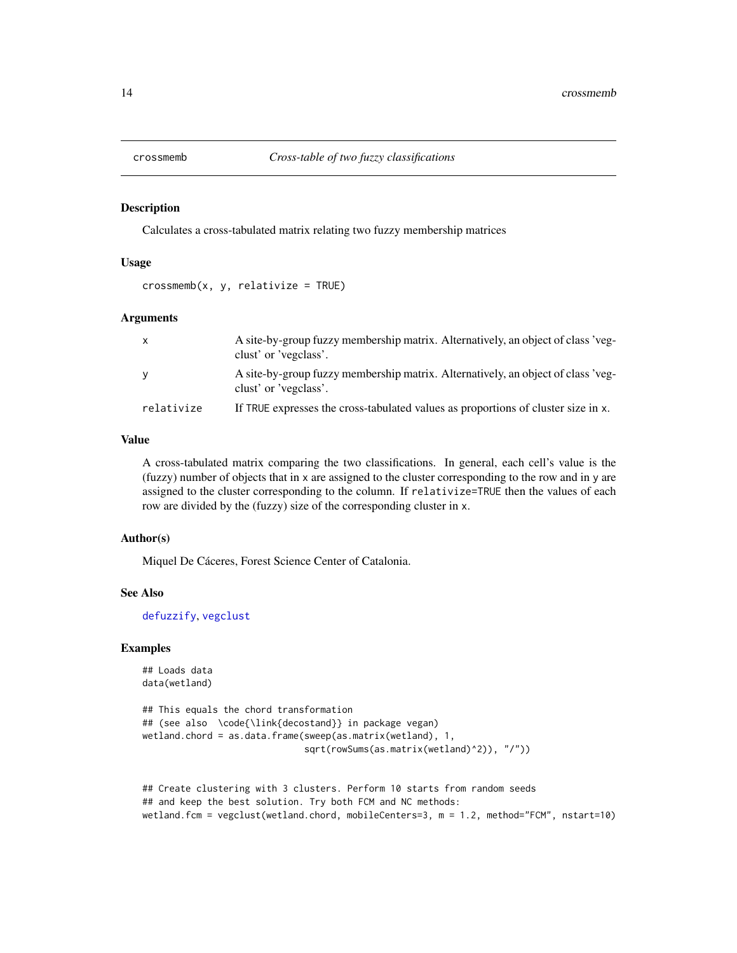<span id="page-13-1"></span><span id="page-13-0"></span>

#### Description

Calculates a cross-tabulated matrix relating two fuzzy membership matrices

#### Usage

 $crossmemb(x, y, relative = TRUE)$ 

# Arguments

| $\mathsf{x}$ | A site-by-group fuzzy membership matrix. Alternatively, an object of class 'veg-<br>clust' or 'vegclass'. |
|--------------|-----------------------------------------------------------------------------------------------------------|
| <b>V</b>     | A site-by-group fuzzy membership matrix. Alternatively, an object of class 'veg-<br>clust' or 'vegclass'. |
| relativize   | If TRUE expresses the cross-tabulated values as proportions of cluster size in x.                         |

# Value

A cross-tabulated matrix comparing the two classifications. In general, each cell's value is the (fuzzy) number of objects that in x are assigned to the cluster corresponding to the row and in y are assigned to the cluster corresponding to the column. If relativize=TRUE then the values of each row are divided by the (fuzzy) size of the corresponding cluster in x.

# Author(s)

Miquel De Cáceres, Forest Science Center of Catalonia.

#### See Also

[defuzzify](#page-14-1), [vegclust](#page-30-1)

```
## Loads data
data(wetland)
```

```
## This equals the chord transformation
## (see also \code{\link{decostand}} in package vegan)
wetland.chord = as.data.frame(sweep(as.matrix(wetland), 1,
                              sqrt(rowSums(as.matrix(wetland)^2)), "/"))
```

```
## Create clustering with 3 clusters. Perform 10 starts from random seeds
## and keep the best solution. Try both FCM and NC methods:
wetland.fcm = vegclust(wetland.chord, mobileCenters=3, m = 1.2, method="FCM", nstart=10)
```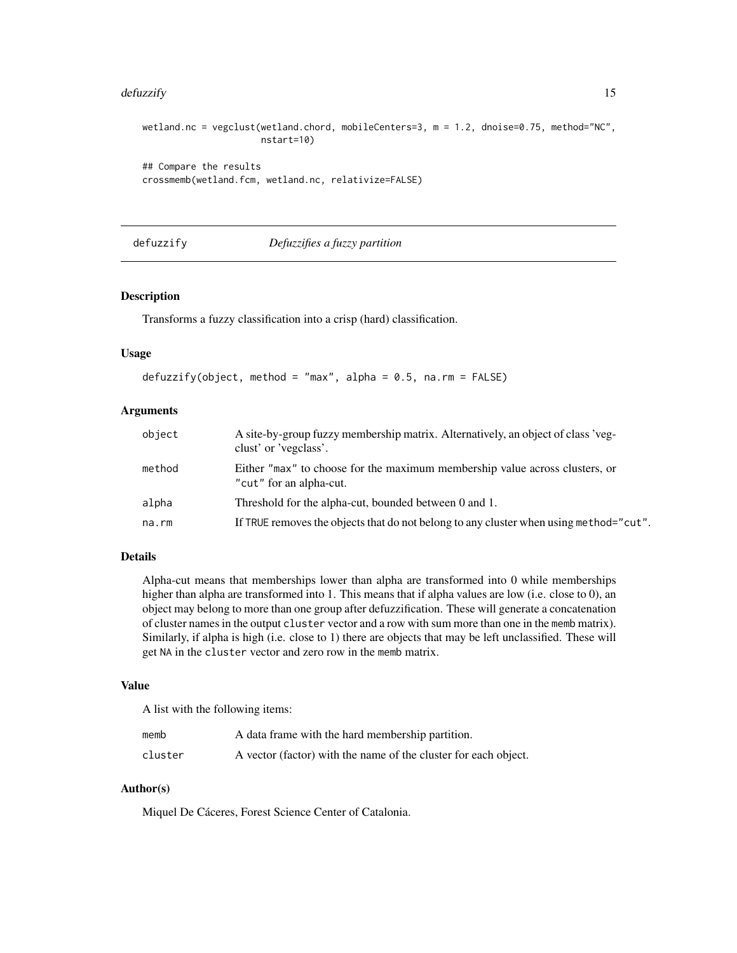#### <span id="page-14-0"></span>defuzzify the contract of the contract of the contract of the contract of the contract of the contract of the contract of the contract of the contract of the contract of the contract of the contract of the contract of the

```
wetland.nc = vegclust(wetland.chord, mobileCenters=3, m = 1.2, dnoise=0.75, method="NC",
                      nstart=10)
## Compare the results
crossmemb(wetland.fcm, wetland.nc, relativize=FALSE)
```
#### <span id="page-14-1"></span>defuzzify *Defuzzifies a fuzzy partition*

# Description

Transforms a fuzzy classification into a crisp (hard) classification.

#### Usage

```
defuzzify(object, method = "max", alpha = 0.5, na.rm = FALSE)
```
# Arguments

| object | A site-by-group fuzzy membership matrix. Alternatively, an object of class 'veg-<br>clust' or 'vegclass'. |
|--------|-----------------------------------------------------------------------------------------------------------|
| method | Either "max" to choose for the maximum membership value across clusters, or<br>"cut" for an alpha-cut.    |
| alpha  | Threshold for the alpha-cut, bounded between 0 and 1.                                                     |
| na.rm  | If TRUE removes the objects that do not belong to any cluster when using method="cut".                    |

# Details

Alpha-cut means that memberships lower than alpha are transformed into 0 while memberships higher than alpha are transformed into 1. This means that if alpha values are low (i.e. close to 0), an object may belong to more than one group after defuzzification. These will generate a concatenation of cluster names in the output cluster vector and a row with sum more than one in the memb matrix). Similarly, if alpha is high (i.e. close to 1) there are objects that may be left unclassified. These will get NA in the cluster vector and zero row in the memb matrix.

#### Value

A list with the following items:

| memb    | A data frame with the hard membership partition.                |
|---------|-----------------------------------------------------------------|
| cluster | A vector (factor) with the name of the cluster for each object. |

# Author(s)

Miquel De Cáceres, Forest Science Center of Catalonia.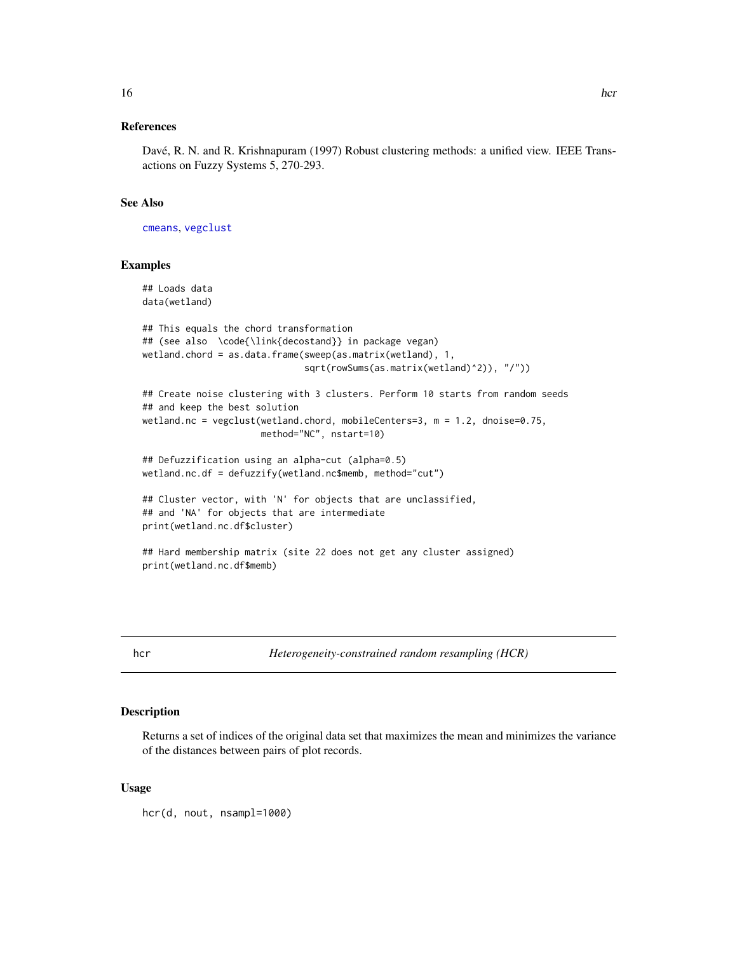# <span id="page-15-0"></span>References

Davé, R. N. and R. Krishnapuram (1997) Robust clustering methods: a unified view. IEEE Transactions on Fuzzy Systems 5, 270-293.

#### See Also

[cmeans](#page-0-0), [vegclust](#page-30-1)

# Examples

```
## Loads data
data(wetland)
## This equals the chord transformation
## (see also \code{\link{decostand}} in package vegan)
wetland.chord = as.data.frame(sweep(as.matrix(wetland), 1,
                              sqrt(rowSums(as.matrix(wetland)^2)), "/"))
## Create noise clustering with 3 clusters. Perform 10 starts from random seeds
## and keep the best solution
wetland.nc = vegclust(wetland.chord, mobileCenters=3, m = 1.2, dnoise=0.75,
                      method="NC", nstart=10)
## Defuzzification using an alpha-cut (alpha=0.5)
wetland.nc.df = defuzzify(wetland.nc$memb, method="cut")
## Cluster vector, with 'N' for objects that are unclassified,
## and 'NA' for objects that are intermediate
print(wetland.nc.df$cluster)
## Hard membership matrix (site 22 does not get any cluster assigned)
print(wetland.nc.df$memb)
```
hcr *Heterogeneity-constrained random resampling (HCR)*

#### Description

Returns a set of indices of the original data set that maximizes the mean and minimizes the variance of the distances between pairs of plot records.

#### Usage

hcr(d, nout, nsampl=1000)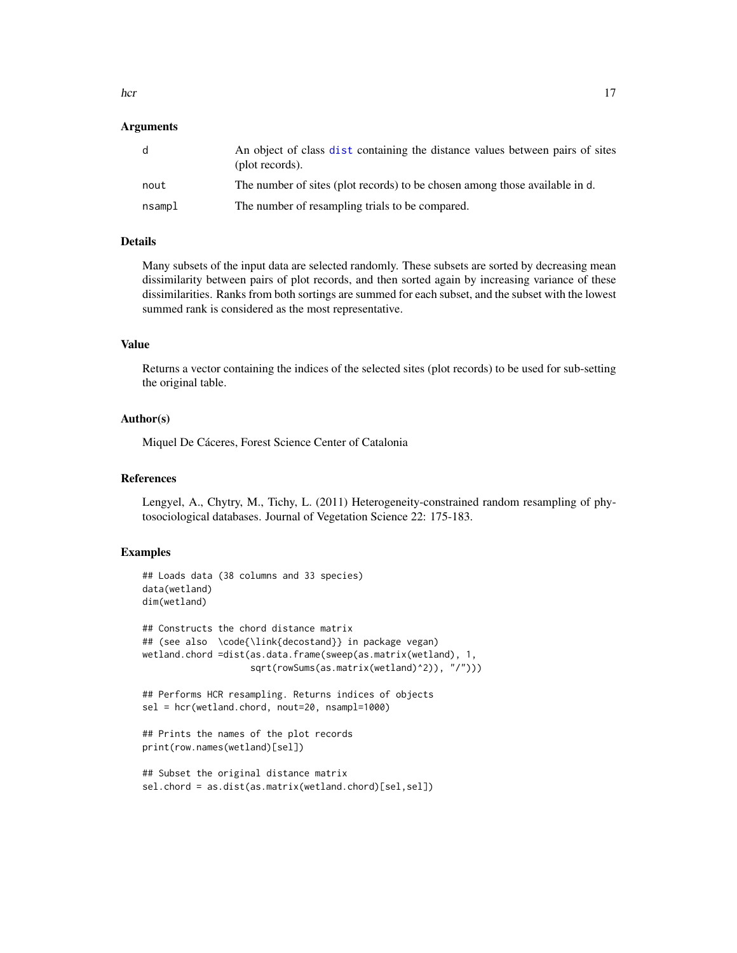<span id="page-16-0"></span>hcr the contract of the contract of the contract of the contract of the contract of the contract of the contract of the contract of the contract of the contract of the contract of the contract of the contract of the contra

#### Arguments

| d      | An object of class dist containing the distance values between pairs of sites<br>(plot records). |
|--------|--------------------------------------------------------------------------------------------------|
| nout   | The number of sites (plot records) to be chosen among those available in d.                      |
| nsampl | The number of resampling trials to be compared.                                                  |

#### Details

Many subsets of the input data are selected randomly. These subsets are sorted by decreasing mean dissimilarity between pairs of plot records, and then sorted again by increasing variance of these dissimilarities. Ranks from both sortings are summed for each subset, and the subset with the lowest summed rank is considered as the most representative.

# Value

Returns a vector containing the indices of the selected sites (plot records) to be used for sub-setting the original table.

#### Author(s)

Miquel De Cáceres, Forest Science Center of Catalonia

# References

Lengyel, A., Chytry, M., Tichy, L. (2011) Heterogeneity-constrained random resampling of phytosociological databases. Journal of Vegetation Science 22: 175-183.

```
## Loads data (38 columns and 33 species)
data(wetland)
dim(wetland)
## Constructs the chord distance matrix
## (see also \code{\link{decostand}} in package vegan)
wetland.chord =dist(as.data.frame(sweep(as.matrix(wetland), 1,
                    sqrt(rowSums(as.matrix(wetland)^2)), "/")))
## Performs HCR resampling. Returns indices of objects
sel = hcr(wetland.chord, nout=20, nsampl=1000)
## Prints the names of the plot records
print(row.names(wetland)[sel])
## Subset the original distance matrix
sel.chord = as.dist(as.matrix(wetland.chord)[sel,sel])
```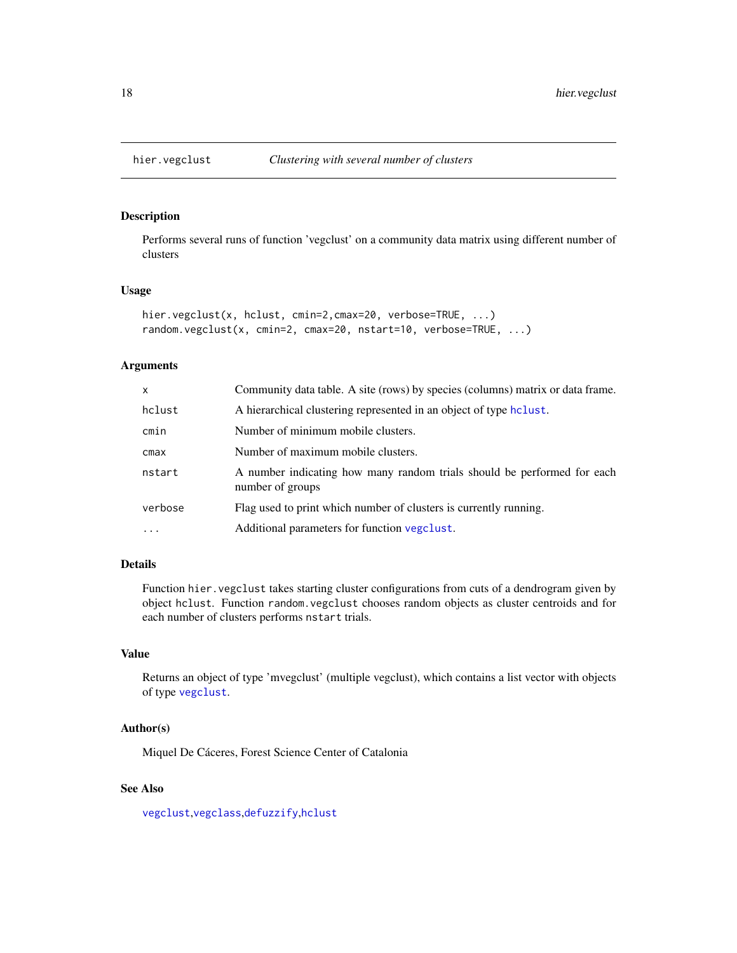<span id="page-17-1"></span><span id="page-17-0"></span>

#### <span id="page-17-2"></span>Description

Performs several runs of function 'vegclust' on a community data matrix using different number of clusters

### Usage

```
hier.vegclust(x, hclust, cmin=2,cmax=20, verbose=TRUE, ...)
random.vegclust(x, cmin=2, cmax=20, nstart=10, verbose=TRUE, ...)
```
# Arguments

| x          | Community data table. A site (rows) by species (columns) matrix or data frame.              |
|------------|---------------------------------------------------------------------------------------------|
| hclust     | A hierarchical clustering represented in an object of type holust.                          |
| cmin       | Number of minimum mobile clusters.                                                          |
| cmax       | Number of maximum mobile clusters.                                                          |
| nstart     | A number indicating how many random trials should be performed for each<br>number of groups |
| verbose    | Flag used to print which number of clusters is currently running.                           |
| $\ddots$ . | Additional parameters for function vegclust.                                                |

# Details

Function hier. vegclust takes starting cluster configurations from cuts of a dendrogram given by object hclust. Function random.vegclust chooses random objects as cluster centroids and for each number of clusters performs nstart trials.

#### Value

Returns an object of type 'mvegclust' (multiple vegclust), which contains a list vector with objects of type [vegclust](#page-30-1).

# Author(s)

Miquel De Cáceres, Forest Science Center of Catalonia

# See Also

[vegclust](#page-30-1),[vegclass](#page-28-1),[defuzzify](#page-14-1),[hclust](#page-0-0)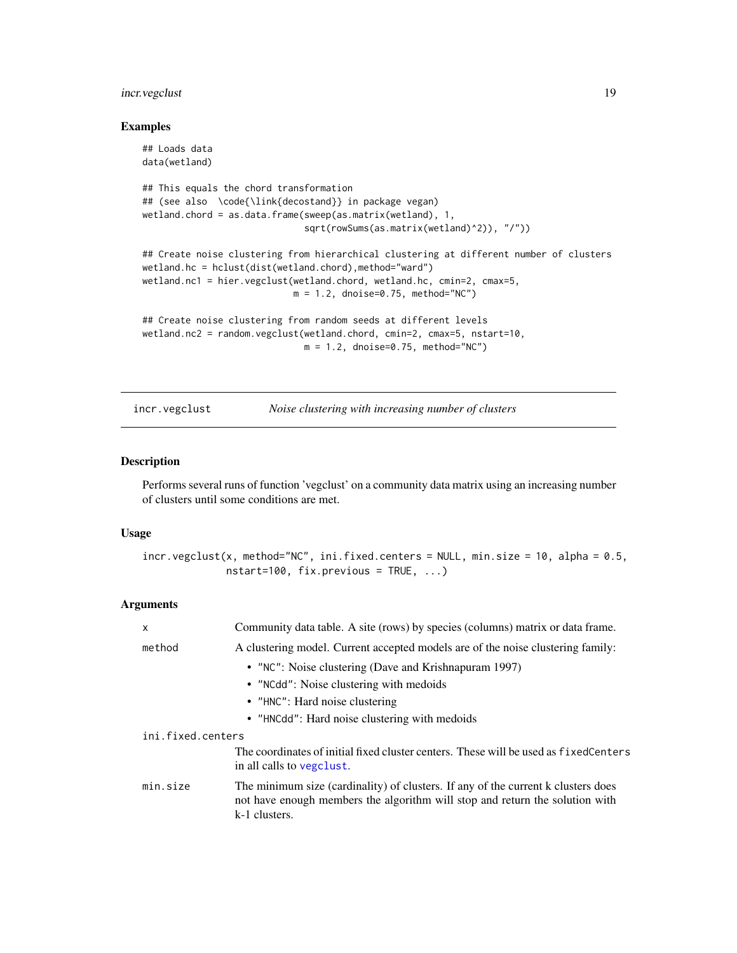# <span id="page-18-0"></span>incr.vegclust 19

# Examples

```
## Loads data
data(wetland)
## This equals the chord transformation
## (see also \code{\link{decostand}} in package vegan)
wetland.chord = as.data.frame(sweep(as.matrix(wetland), 1,
                              sqrt(rowSums(as.matrix(wetland)^2)), "/"))
## Create noise clustering from hierarchical clustering at different number of clusters
wetland.hc = hclust(dist(wetland.chord),method="ward")
wetland.nc1 = hier.vegclust(wetland.chord, wetland.hc, cmin=2, cmax=5,
                            m = 1.2, dnoise=0.75, method="NC")
## Create noise clustering from random seeds at different levels
wetland.nc2 = random.vegclust(wetland.chord, cmin=2, cmax=5, nstart=10,
                              m = 1.2, dnoise=0.75, method="NC")
```
<span id="page-18-1"></span>

incr.vegclust *Noise clustering with increasing number of clusters*

### Description

Performs several runs of function 'vegclust' on a community data matrix using an increasing number of clusters until some conditions are met.

#### Usage

 $incr.vegetust(x, method="NC", ini.fixed.centers = NULL, min.size = 10, alpha = 0.5,$  $nstart=100$ ,  $fix.previous = TRUE, ...)$ 

#### Arguments

| X                 | Community data table. A site (rows) by species (columns) matrix or data frame.                                                                                                     |
|-------------------|------------------------------------------------------------------------------------------------------------------------------------------------------------------------------------|
| method            | A clustering model. Current accepted models are of the noise clustering family:                                                                                                    |
|                   | • "NC": Noise clustering (Dave and Krishnapuram 1997)                                                                                                                              |
|                   | • "NCdd": Noise clustering with medoids                                                                                                                                            |
|                   | • "HNC": Hard noise clustering                                                                                                                                                     |
|                   | • "HNCdd": Hard noise clustering with medoids                                                                                                                                      |
| ini.fixed.centers |                                                                                                                                                                                    |
|                   | The coordinates of initial fixed cluster centers. These will be used as fixed Centers<br>in all calls to vegelust.                                                                 |
| min.size          | The minimum size (cardinality) of clusters. If any of the current k clusters does<br>not have enough members the algorithm will stop and return the solution with<br>k-1 clusters. |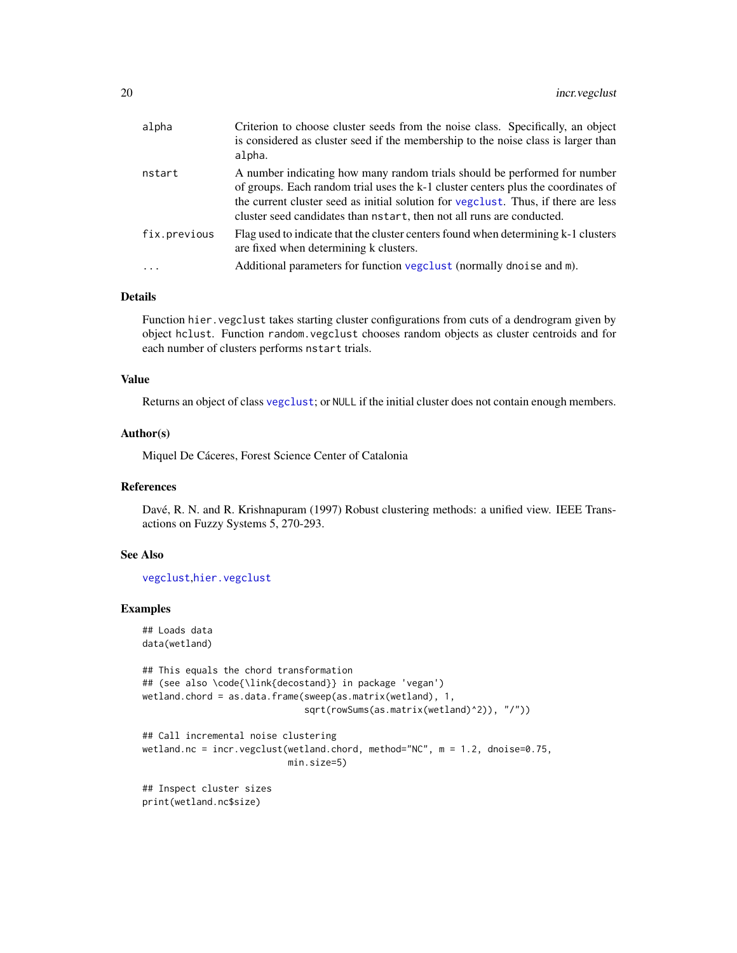<span id="page-19-0"></span>

| alpha        | Criterion to choose cluster seeds from the noise class. Specifically, an object<br>is considered as cluster seed if the membership to the noise class is larger than<br>alpha.                                                                                                                                            |
|--------------|---------------------------------------------------------------------------------------------------------------------------------------------------------------------------------------------------------------------------------------------------------------------------------------------------------------------------|
| nstart       | A number indicating how many random trials should be performed for number<br>of groups. Each random trial uses the k-1 cluster centers plus the coordinates of<br>the current cluster seed as initial solution for vegallers at the set are less<br>cluster seed candidates than nstart, then not all runs are conducted. |
| fix.previous | Flag used to indicate that the cluster centers found when determining k-1 clusters<br>are fixed when determining k clusters.                                                                                                                                                                                              |
|              | Additional parameters for function vegclust (normally dnoise and m).                                                                                                                                                                                                                                                      |

#### Details

Function hier.vegclust takes starting cluster configurations from cuts of a dendrogram given by object hclust. Function random.vegclust chooses random objects as cluster centroids and for each number of clusters performs nstart trials.

# Value

Returns an object of class [vegclust](#page-30-1); or NULL if the initial cluster does not contain enough members.

#### Author(s)

Miquel De Cáceres, Forest Science Center of Catalonia

# References

Davé, R. N. and R. Krishnapuram (1997) Robust clustering methods: a unified view. IEEE Transactions on Fuzzy Systems 5, 270-293.

# See Also

[vegclust](#page-30-1),[hier.vegclust](#page-17-1)

```
## Loads data
data(wetland)
## This equals the chord transformation
## (see also \code{\link{decostand}} in package 'vegan')
wetland.chord = as.data.frame(sweep(as.matrix(wetland), 1,
                              sqrt(rowSums(as.matrix(wetland)^2)), "/"))
## Call incremental noise clustering
wetland.nc = incr.vegclust(wetland.chord, method="NC", m = 1.2, dnoise=0.75,
                           min.size=5)
## Inspect cluster sizes
print(wetland.nc$size)
```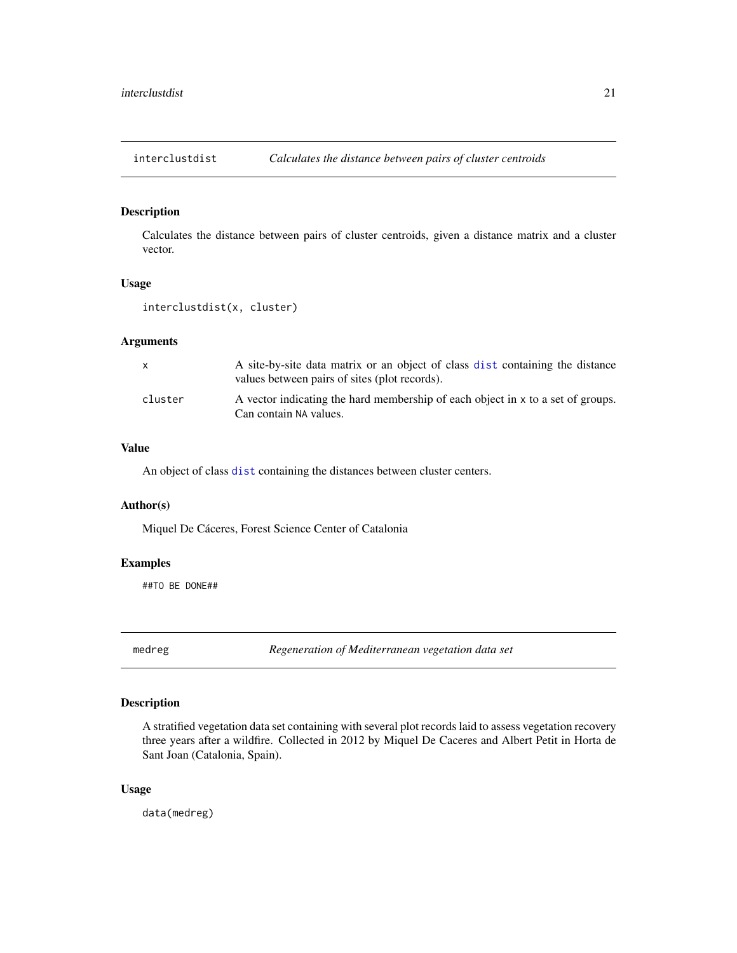<span id="page-20-0"></span>interclustdist *Calculates the distance between pairs of cluster centroids*

# Description

Calculates the distance between pairs of cluster centroids, given a distance matrix and a cluster vector.

# Usage

```
interclustdist(x, cluster)
```
# Arguments

| X       | A site-by-site data matrix or an object of class dist containing the distance<br>values between pairs of sites (plot records). |
|---------|--------------------------------------------------------------------------------------------------------------------------------|
| cluster | A vector indicating the hard membership of each object in x to a set of groups.<br>Can contain NA values.                      |

#### Value

An object of class [dist](#page-0-0) containing the distances between cluster centers.

#### Author(s)

Miquel De Cáceres, Forest Science Center of Catalonia

# Examples

##TO BE DONE##

medreg *Regeneration of Mediterranean vegetation data set*

# Description

A stratified vegetation data set containing with several plot records laid to assess vegetation recovery three years after a wildfire. Collected in 2012 by Miquel De Caceres and Albert Petit in Horta de Sant Joan (Catalonia, Spain).

# Usage

data(medreg)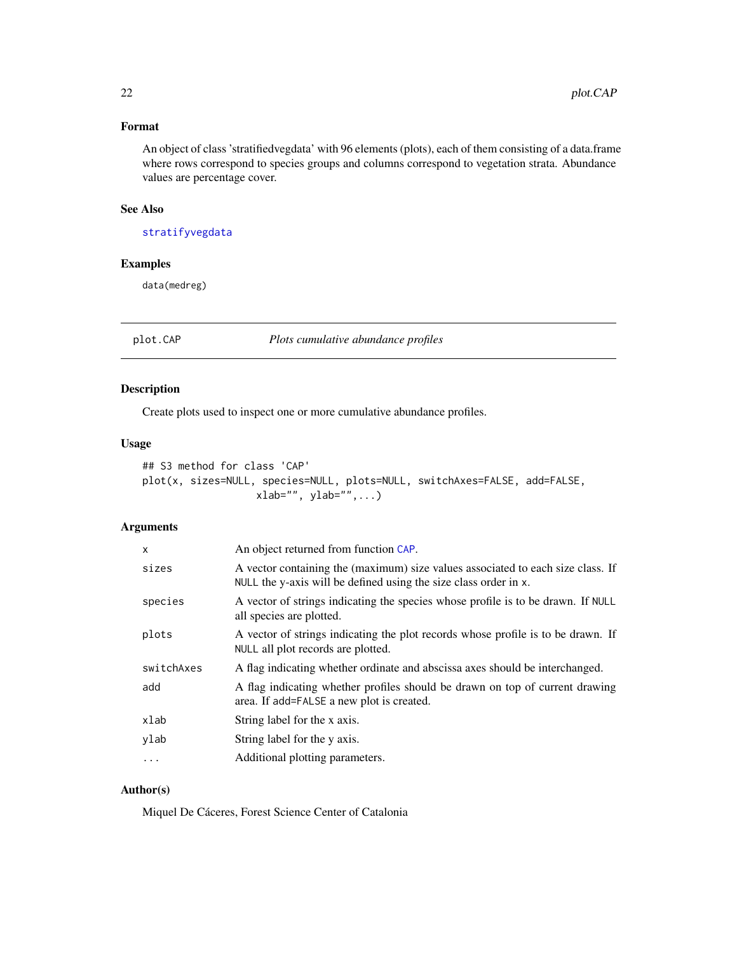# <span id="page-21-0"></span>Format

An object of class 'stratifiedvegdata' with 96 elements (plots), each of them consisting of a data.frame where rows correspond to species groups and columns correspond to vegetation strata. Abundance values are percentage cover.

#### See Also

[stratifyvegdata](#page-25-1)

# Examples

data(medreg)

<span id="page-21-1"></span>plot.CAP *Plots cumulative abundance profiles*

# Description

Create plots used to inspect one or more cumulative abundance profiles.

# Usage

```
## S3 method for class 'CAP'
plot(x, sizes=NULL, species=NULL, plots=NULL, switchAxes=FALSE, add=FALSE,
                  xlab="", ylab="", ...)
```
# Arguments

| x          | An object returned from function CAP.                                                                                                               |
|------------|-----------------------------------------------------------------------------------------------------------------------------------------------------|
| sizes      | A vector containing the (maximum) size values associated to each size class. If<br>NULL the y-axis will be defined using the size class order in x. |
| species    | A vector of strings indicating the species whose profile is to be drawn. If NULL<br>all species are plotted.                                        |
| plots      | A vector of strings indicating the plot records whose profile is to be drawn. If<br>NULL all plot records are plotted.                              |
| switchAxes | A flag indicating whether ordinate and abscissa axes should be interchanged.                                                                        |
| add        | A flag indicating whether profiles should be drawn on top of current drawing<br>area. If add=FALSE a new plot is created.                           |
| xlab       | String label for the x axis.                                                                                                                        |
| ylab       | String label for the y axis.                                                                                                                        |
| .          | Additional plotting parameters.                                                                                                                     |
|            |                                                                                                                                                     |

# Author(s)

Miquel De Cáceres, Forest Science Center of Catalonia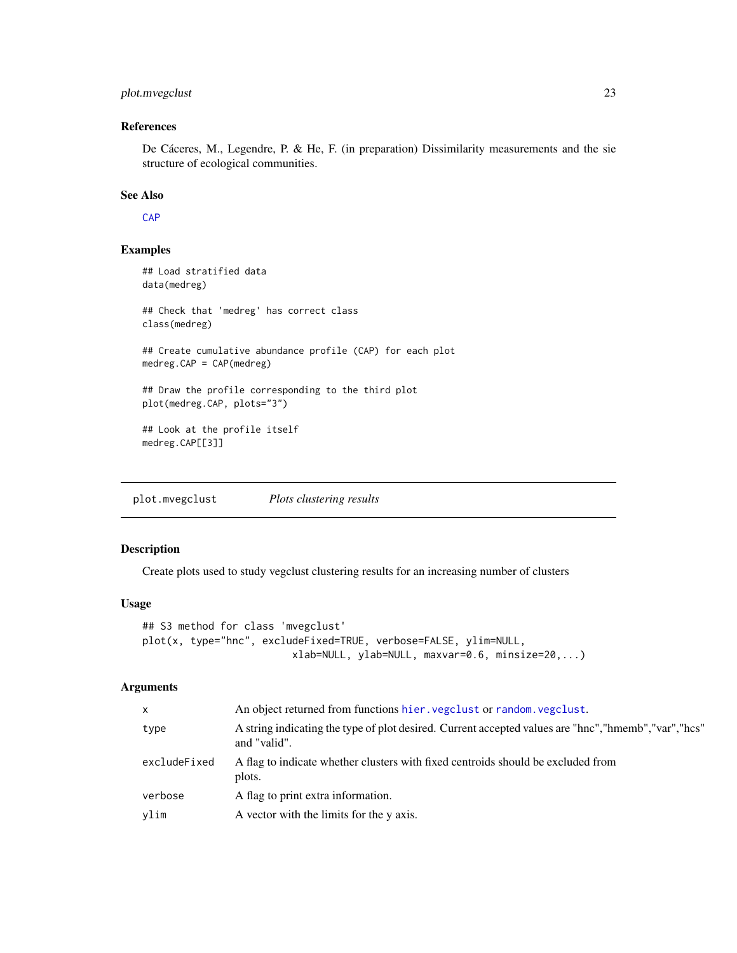# <span id="page-22-0"></span>plot.mvegclust 23

# References

De Cáceres, M., Legendre, P. & He, F. (in preparation) Dissimilarity measurements and the sie structure of ecological communities.

#### See Also

**[CAP](#page-5-1)** 

# Examples

```
## Load stratified data
data(medreg)
## Check that 'medreg' has correct class
class(medreg)
## Create cumulative abundance profile (CAP) for each plot
medreg.CAP = CAP(medreg)
## Draw the profile corresponding to the third plot
plot(medreg.CAP, plots="3")
## Look at the profile itself
```

```
medreg.CAP[[3]]
```
plot.mvegclust *Plots clustering results*

# Description

Create plots used to study vegclust clustering results for an increasing number of clusters

#### Usage

```
## S3 method for class 'mvegclust'
plot(x, type="hnc", excludeFixed=TRUE, verbose=FALSE, ylim=NULL,
                         xlab=NULL, ylab=NULL, maxvar=0.6, minsize=20,...)
```
#### Arguments

| $\mathsf{x}$ | An object returned from functions hier. vegclust or random. vegclust.                                                  |
|--------------|------------------------------------------------------------------------------------------------------------------------|
| type         | A string indicating the type of plot desired. Current accepted values are "hnc", "hmemb", "var", "hcs"<br>and "valid". |
| excludeFixed | A flag to indicate whether clusters with fixed centroids should be excluded from<br>plots.                             |
| verbose      | A flag to print extra information.                                                                                     |
| ylim         | A vector with the limits for the y axis.                                                                               |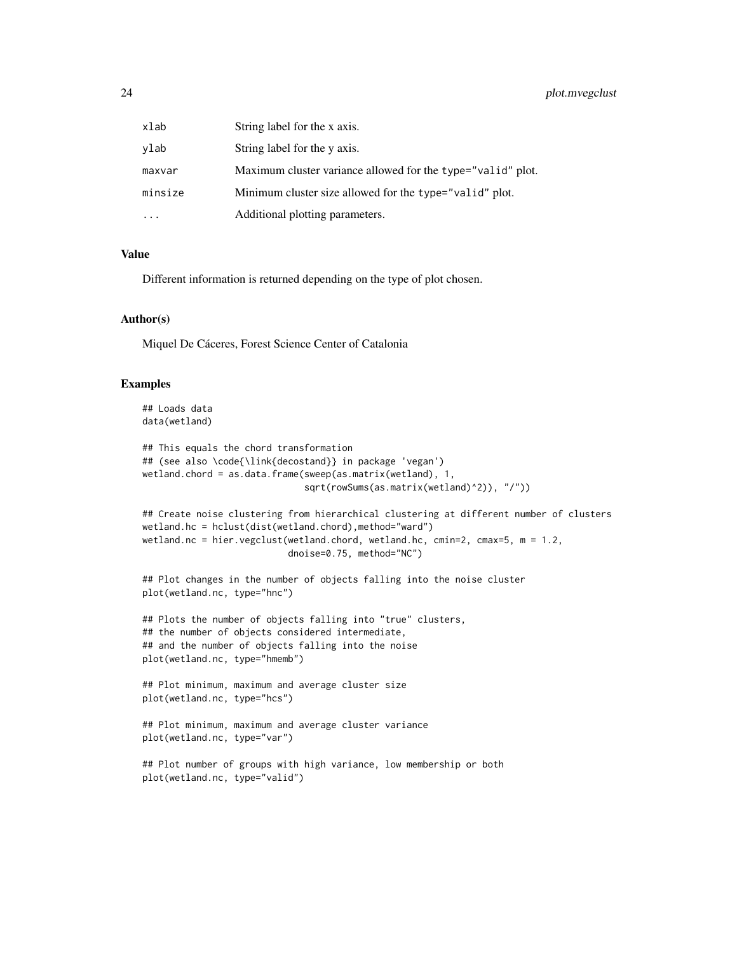| xlab    | String label for the x axis.                                |
|---------|-------------------------------------------------------------|
| ylab    | String label for the y axis.                                |
| maxvar  | Maximum cluster variance allowed for the type="valid" plot. |
| minsize | Minimum cluster size allowed for the type="valid" plot.     |
|         | Additional plotting parameters.                             |

#### Value

Different information is returned depending on the type of plot chosen.

# Author(s)

Miquel De Cáceres, Forest Science Center of Catalonia

```
## Loads data
data(wetland)
```

```
## This equals the chord transformation
## (see also \code{\link{decostand}} in package 'vegan')
wetland.chord = as.data.frame(sweep(as.matrix(wetland), 1,
                              sqrt(rowSums(as.matrix(wetland)^2)), "/"))
```

```
## Create noise clustering from hierarchical clustering at different number of clusters
wetland.hc = hclust(dist(wetland.chord), method="ward")
wetland.nc = hier.vegclust(wetland.chord, wetland.hc, cmin=2, cmax=5, m = 1.2,
                           dnoise=0.75, method="NC")
```

```
## Plot changes in the number of objects falling into the noise cluster
plot(wetland.nc, type="hnc")
```

```
## Plots the number of objects falling into "true" clusters,
## the number of objects considered intermediate,
## and the number of objects falling into the noise
plot(wetland.nc, type="hmemb")
```

```
## Plot minimum, maximum and average cluster size
plot(wetland.nc, type="hcs")
```

```
## Plot minimum, maximum and average cluster variance
plot(wetland.nc, type="var")
```

```
## Plot number of groups with high variance, low membership or both
plot(wetland.nc, type="valid")
```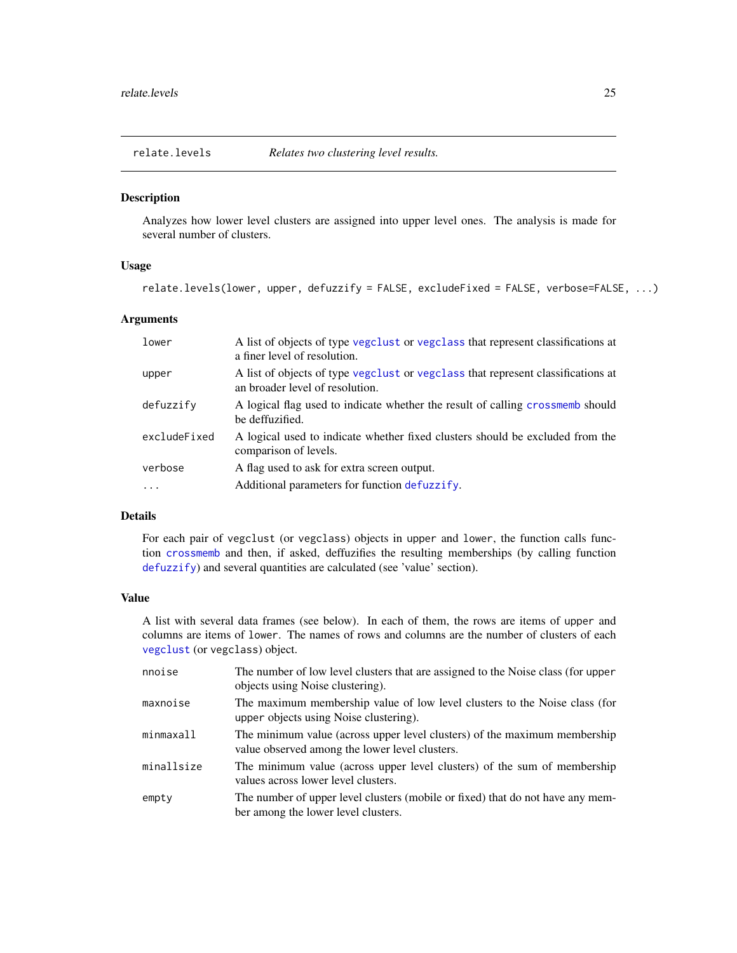<span id="page-24-0"></span>

# Description

Analyzes how lower level clusters are assigned into upper level ones. The analysis is made for several number of clusters.

# Usage

```
relate.levels(lower, upper, defuzzify = FALSE, excludeFixed = FALSE, verbose=FALSE, ...)
```
# Arguments

| lower        | A list of objects of type vegalist or vegalass that represent classifications at<br>a finer level of resolution.    |
|--------------|---------------------------------------------------------------------------------------------------------------------|
| upper        | A list of objects of type vegclust or vegclass that represent classifications at<br>an broader level of resolution. |
| defuzzify    | A logical flag used to indicate whether the result of calling crossmemb should<br>be deffuzified.                   |
| excludeFixed | A logical used to indicate whether fixed clusters should be excluded from the<br>comparison of levels.              |
| verbose      | A flag used to ask for extra screen output.                                                                         |
| $\ddots$ .   | Additional parameters for function defuzzify.                                                                       |

# Details

For each pair of vegclust (or vegclass) objects in upper and lower, the function calls function [crossmemb](#page-13-1) and then, if asked, deffuzifies the resulting memberships (by calling function [defuzzify](#page-14-1)) and several quantities are calculated (see 'value' section).

#### Value

A list with several data frames (see below). In each of them, the rows are items of upper and columns are items of lower. The names of rows and columns are the number of clusters of each [vegclust](#page-30-1) (or vegclass) object.

| nnoise     | The number of low level clusters that are assigned to the Noise class (for upper<br>objects using Noise clustering).        |
|------------|-----------------------------------------------------------------------------------------------------------------------------|
| maxnoise   | The maximum membership value of low level clusters to the Noise class (for<br>upper objects using Noise clustering).        |
| minmaxall  | The minimum value (across upper level clusters) of the maximum membership<br>value observed among the lower level clusters. |
| minallsize | The minimum value (across upper level clusters) of the sum of membership<br>values across lower level clusters.             |
| empty      | The number of upper level clusters (mobile or fixed) that do not have any mem-<br>ber among the lower level clusters.       |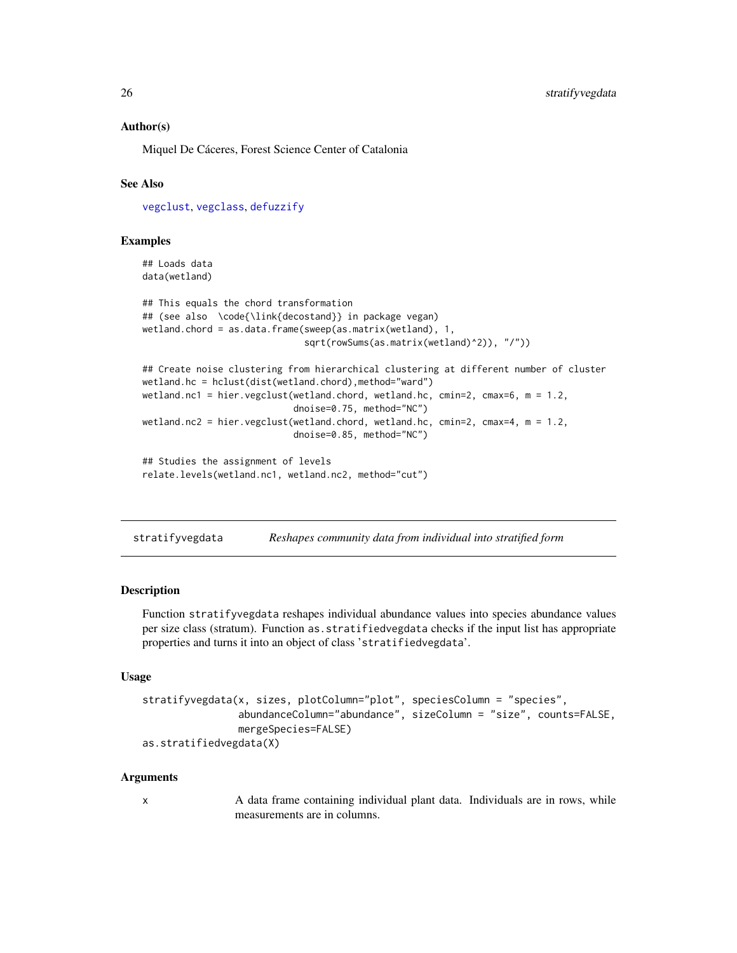### <span id="page-25-0"></span>Author(s)

Miquel De Cáceres, Forest Science Center of Catalonia

# See Also

[vegclust](#page-30-1), [vegclass](#page-28-1), [defuzzify](#page-14-1)

#### Examples

```
## Loads data
data(wetland)
## This equals the chord transformation
## (see also \code{\link{decostand}} in package vegan)
wetland.chord = as.data.frame(sweep(as.matrix(wetland), 1,
                              sqrt(rowSums(as.matrix(wetland)^2)), "/"))
## Create noise clustering from hierarchical clustering at different number of cluster
wetland.hc = hclust(dist(wetland.chord),method="ward")
wetland.nc1 = hier.vegclust(wetland.chord, wetland.hc, cmin=2, cmax=6, m = 1.2,
                            dnoise=0.75, method="NC")
wetland.nc2 = hier.vegclust(wetland.chord, wetland.hc, cmin=2, cmax=4, m = 1.2,
                            dnoise=0.85, method="NC")
## Studies the assignment of levels
relate.levels(wetland.nc1, wetland.nc2, method="cut")
```
<span id="page-25-1"></span>stratifyvegdata *Reshapes community data from individual into stratified form*

#### **Description**

Function stratifyvegdata reshapes individual abundance values into species abundance values per size class (stratum). Function as.stratifiedvegdata checks if the input list has appropriate properties and turns it into an object of class 'stratifiedvegdata'.

#### Usage

```
stratifyvegdata(x, sizes, plotColumn="plot", speciesColumn = "species",
                abundanceColumn="abundance", sizeColumn = "size", counts=FALSE,
                mergeSpecies=FALSE)
as.stratifiedvegdata(X)
```
# Arguments

x A data frame containing individual plant data. Individuals are in rows, while measurements are in columns.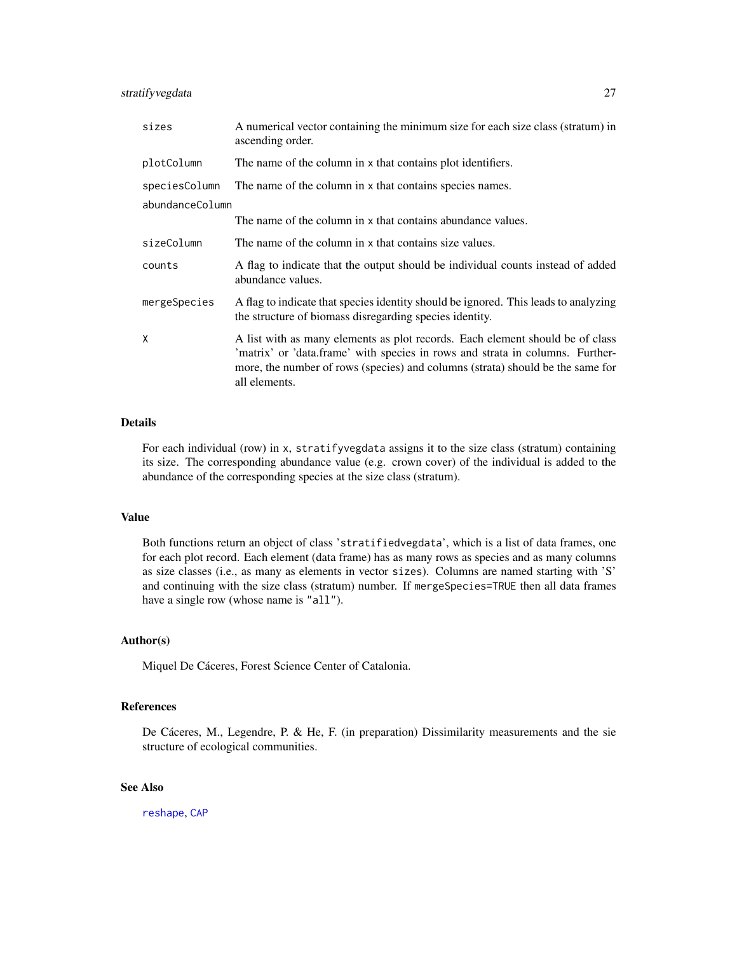# <span id="page-26-0"></span>stratifyvegdata 27

| sizes           | A numerical vector containing the minimum size for each size class (stratum) in<br>ascending order.                                                                                                                                                               |
|-----------------|-------------------------------------------------------------------------------------------------------------------------------------------------------------------------------------------------------------------------------------------------------------------|
| plotColumn      | The name of the column in x that contains plot identifiers.                                                                                                                                                                                                       |
| speciesColumn   | The name of the column in x that contains species names.                                                                                                                                                                                                          |
| abundanceColumn |                                                                                                                                                                                                                                                                   |
|                 | The name of the column in x that contains abundance values.                                                                                                                                                                                                       |
| sizeColumn      | The name of the column in x that contains size values.                                                                                                                                                                                                            |
| counts          | A flag to indicate that the output should be individual counts instead of added<br>abundance values.                                                                                                                                                              |
| mergeSpecies    | A flag to indicate that species identity should be ignored. This leads to analyzing<br>the structure of biomass disregarding species identity.                                                                                                                    |
| X               | A list with as many elements as plot records. Each element should be of class<br>'matrix' or 'data.frame' with species in rows and strata in columns. Further-<br>more, the number of rows (species) and columns (strata) should be the same for<br>all elements. |

#### Details

For each individual (row) in x, stratifyvegdata assigns it to the size class (stratum) containing its size. The corresponding abundance value (e.g. crown cover) of the individual is added to the abundance of the corresponding species at the size class (stratum).

#### Value

Both functions return an object of class 'stratifiedvegdata', which is a list of data frames, one for each plot record. Each element (data frame) has as many rows as species and as many columns as size classes (i.e., as many as elements in vector sizes). Columns are named starting with 'S' and continuing with the size class (stratum) number. If mergeSpecies=TRUE then all data frames have a single row (whose name is "all").

#### Author(s)

Miquel De Cáceres, Forest Science Center of Catalonia.

# References

De Cáceres, M., Legendre, P. & He, F. (in preparation) Dissimilarity measurements and the sie structure of ecological communities.

#### See Also

[reshape](#page-0-0), [CAP](#page-5-1)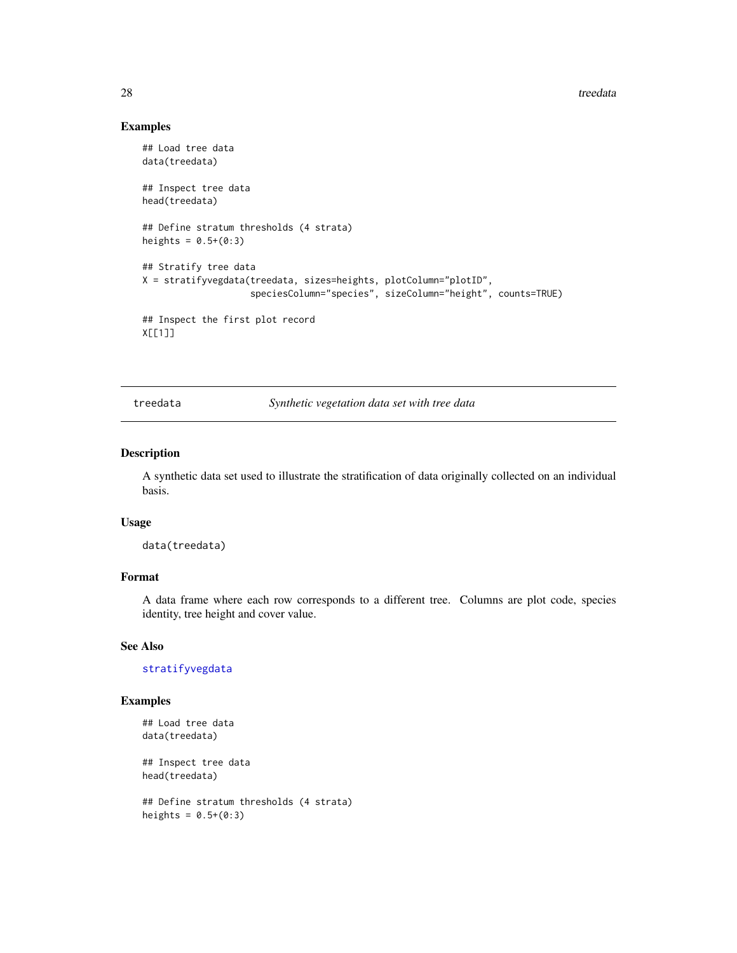<span id="page-27-0"></span>28 treedata and the set of the set of the set of the set of the set of the set of the set of the set of the set of the set of the set of the set of the set of the set of the set of the set of the set of the set of the set

# Examples

```
## Load tree data
data(treedata)
## Inspect tree data
head(treedata)
## Define stratum thresholds (4 strata)
heights = 0.5+(0:3)## Stratify tree data
X = stratifyvegdata(treedata, sizes=heights, plotColumn="plotID",
                    speciesColumn="species", sizeColumn="height", counts=TRUE)
## Inspect the first plot record
X[[1]]
```
treedata *Synthetic vegetation data set with tree data*

#### Description

A synthetic data set used to illustrate the stratification of data originally collected on an individual basis.

#### Usage

data(treedata)

#### Format

A data frame where each row corresponds to a different tree. Columns are plot code, species identity, tree height and cover value.

# See Also

[stratifyvegdata](#page-25-1)

## Examples

```
## Load tree data
data(treedata)
```
## Inspect tree data head(treedata)

```
## Define stratum thresholds (4 strata)
heights = 0.5+(0:3)
```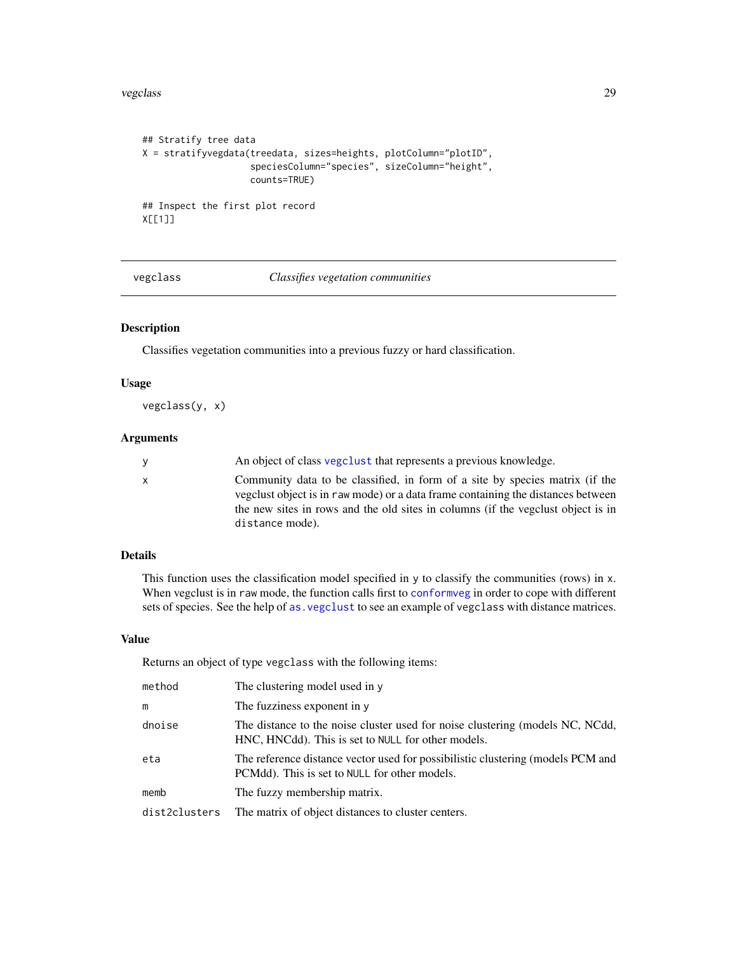#### <span id="page-28-0"></span>vegclass 29

```
## Stratify tree data
X = stratifyvegdata(treedata, sizes=heights, plotColumn="plotID",
                    speciesColumn="species", sizeColumn="height",
                    counts=TRUE)
## Inspect the first plot record
X[[1]]
```
<span id="page-28-1"></span>vegclass *Classifies vegetation communities*

# Description

Classifies vegetation communities into a previous fuzzy or hard classification.

#### Usage

vegclass(y, x)

#### Arguments

| <b>V</b>     | An object of class vegetust that represents a previous knowledge.                                                                                                                                                                                                       |
|--------------|-------------------------------------------------------------------------------------------------------------------------------------------------------------------------------------------------------------------------------------------------------------------------|
| $\mathsf{x}$ | Community data to be classified, in form of a site by species matrix (if the<br>vegetust object is in raw mode) or a data frame containing the distances between<br>the new sites in rows and the old sites in columns (if the vegelust object is in<br>distance mode). |
|              |                                                                                                                                                                                                                                                                         |

# Details

This function uses the classification model specified in y to classify the communities (rows) in x. When vegclust is in raw mode, the function calls first to [conformveg](#page-11-1) in order to cope with different sets of species. See the help of [as.vegclust](#page-3-1) to see an example of vegclass with distance matrices.

#### Value

Returns an object of type vegclass with the following items:

| method        | The clustering model used in y                                                                                                      |
|---------------|-------------------------------------------------------------------------------------------------------------------------------------|
| m             | The fuzziness exponent in y                                                                                                         |
| dnoise        | The distance to the noise cluster used for noise clustering (models NC, NCdd,<br>HNC, HNCdd). This is set to NULL for other models. |
| eta           | The reference distance vector used for possibilistic clustering (models PCM and<br>PCMdd). This is set to NULL for other models.    |
| memb          | The fuzzy membership matrix.                                                                                                        |
| dist2clusters | The matrix of object distances to cluster centers.                                                                                  |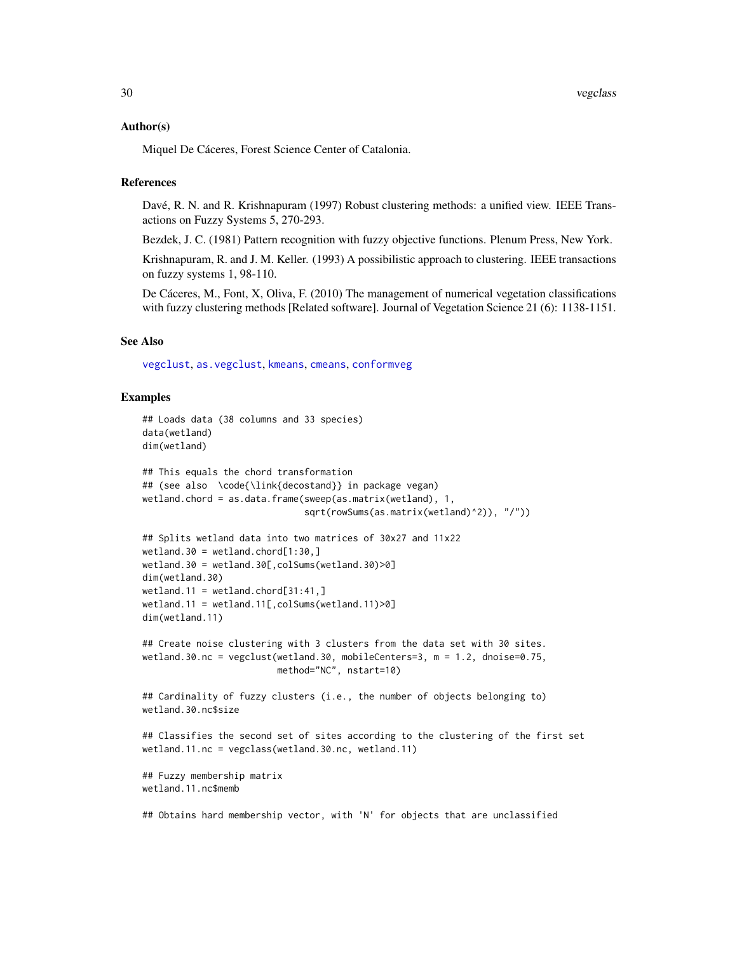#### <span id="page-29-0"></span>Author(s)

Miquel De Cáceres, Forest Science Center of Catalonia.

#### References

Davé, R. N. and R. Krishnapuram (1997) Robust clustering methods: a unified view. IEEE Transactions on Fuzzy Systems 5, 270-293.

Bezdek, J. C. (1981) Pattern recognition with fuzzy objective functions. Plenum Press, New York.

Krishnapuram, R. and J. M. Keller. (1993) A possibilistic approach to clustering. IEEE transactions on fuzzy systems 1, 98-110.

De Cáceres, M., Font, X, Oliva, F. (2010) The management of numerical vegetation classifications with fuzzy clustering methods [Related software]. Journal of Vegetation Science 21 (6): 1138-1151.

# See Also

[vegclust](#page-30-1), [as.vegclust](#page-3-1), [kmeans](#page-0-0), [cmeans](#page-0-0), [conformveg](#page-11-1)

```
## Loads data (38 columns and 33 species)
data(wetland)
dim(wetland)
## This equals the chord transformation
## (see also \code{\link{decostand}} in package vegan)
wetland.chord = as.data.frame(sweep(as.matrix(wetland), 1,
                              sqrt(rowSums(as.matrix(wetland)^2)), "/"))
## Splits wetland data into two matrices of 30x27 and 11x22
wetland.30 = wetland.chord[1:30, ]wetland.30 = wetland.30[,colSums(wetland.30)>0]
dim(wetland.30)
wetland.11 = wetland.chord[31:41, ]wetland.11 = wetland.11[, colSums(wetland.11)>0]dim(wetland.11)
## Create noise clustering with 3 clusters from the data set with 30 sites.
wetland.30.nc = vegclust(wetland.30, mobileCenters=3, m = 1.2, dnoise=0.75,
                        method="NC", nstart=10)
## Cardinality of fuzzy clusters (i.e., the number of objects belonging to)
wetland.30.nc$size
## Classifies the second set of sites according to the clustering of the first set
wetland.11.nc = vegclass(wetland.30.nc, wetland.11)
## Fuzzy membership matrix
wetland.11.nc$memb
## Obtains hard membership vector, with 'N' for objects that are unclassified
```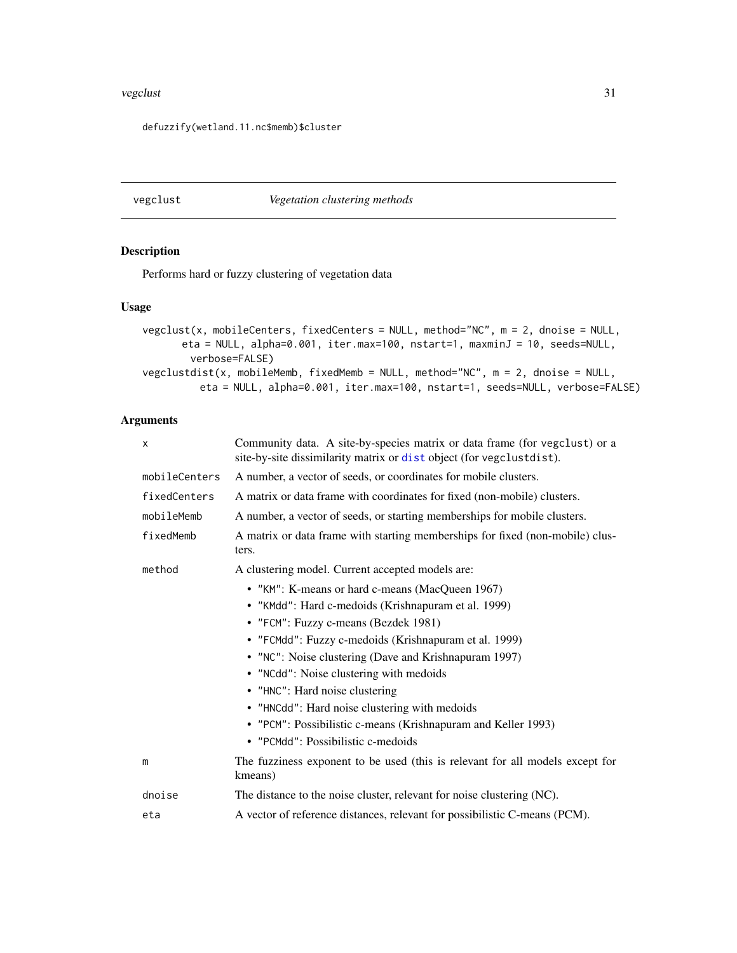#### <span id="page-30-0"></span>vegclust 31

defuzzify(wetland.11.nc\$memb)\$cluster

<span id="page-30-1"></span>vegclust *Vegetation clustering methods*

#### Description

Performs hard or fuzzy clustering of vegetation data

## Usage

```
vegclust(x, mobileCenters, fixedCenters = NULL, method="NC", m = 2, dnoise = NULL,
      eta = NULL, alpha=0.001, iter.max=100, nstart=1, maxminJ = 10, seeds=NULL,
        verbose=FALSE)
vegclustdist(x, mobileMemb, fixedMemb = NULL, method="NC", m = 2, dnoise = NULL,
         eta = NULL, alpha=0.001, iter.max=100, nstart=1, seeds=NULL, verbose=FALSE)
```
# Arguments

| X             | Community data. A site-by-species matrix or data frame (for vegclust) or a<br>site-by-site dissimilarity matrix or dist object (for vegclustdist). |
|---------------|----------------------------------------------------------------------------------------------------------------------------------------------------|
| mobileCenters | A number, a vector of seeds, or coordinates for mobile clusters.                                                                                   |
| fixedCenters  | A matrix or data frame with coordinates for fixed (non-mobile) clusters.                                                                           |
| mobileMemb    | A number, a vector of seeds, or starting memberships for mobile clusters.                                                                          |
| fixedMemb     | A matrix or data frame with starting memberships for fixed (non-mobile) clus-<br>ters.                                                             |
| method        | A clustering model. Current accepted models are:                                                                                                   |
|               | • "KM": K-means or hard c-means (MacQueen 1967)                                                                                                    |
|               | • "KMdd": Hard c-medoids (Krishnapuram et al. 1999)                                                                                                |
|               | • "FCM": Fuzzy c-means (Bezdek 1981)                                                                                                               |
|               | • "FCMdd": Fuzzy c-medoids (Krishnapuram et al. 1999)                                                                                              |
|               | • "NC": Noise clustering (Dave and Krishnapuram 1997)                                                                                              |
|               | • "NCdd": Noise clustering with medoids                                                                                                            |
|               | • "HNC": Hard noise clustering                                                                                                                     |
|               | • "HNCdd": Hard noise clustering with medoids                                                                                                      |
|               | • "PCM": Possibilistic c-means (Krishnapuram and Keller 1993)                                                                                      |
|               | • "PCMdd": Possibilistic c-medoids                                                                                                                 |
| m             | The fuzziness exponent to be used (this is relevant for all models except for<br>kmeans)                                                           |
| dnoise        | The distance to the noise cluster, relevant for noise clustering (NC).                                                                             |
| eta           | A vector of reference distances, relevant for possibilistic C-means (PCM).                                                                         |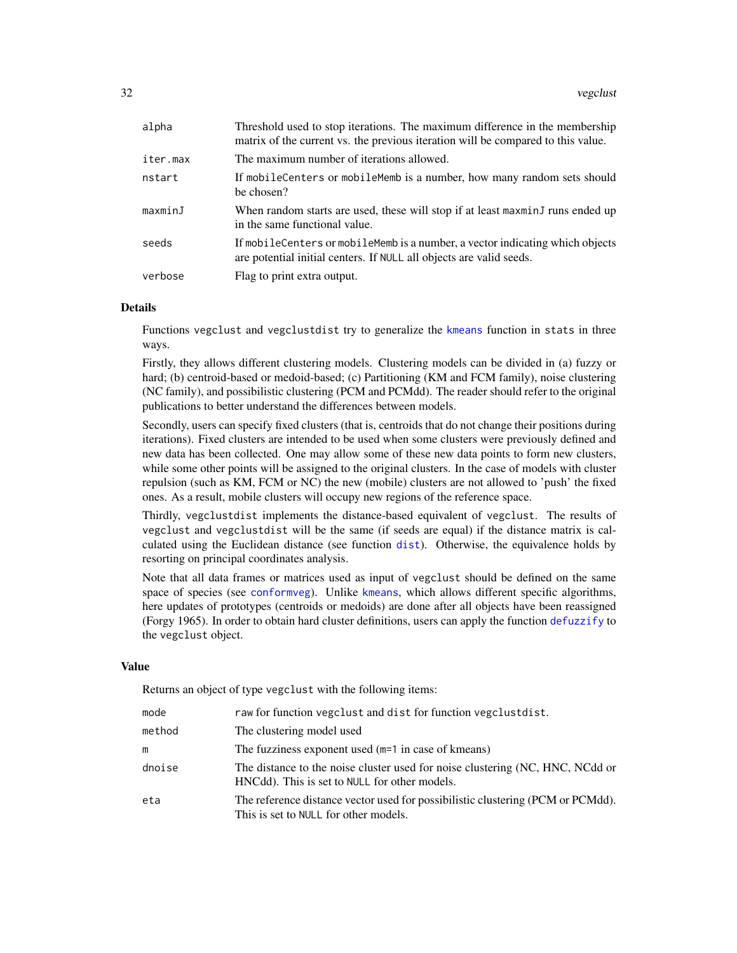<span id="page-31-0"></span>

| alpha    | Threshold used to stop iterations. The maximum difference in the membership<br>matrix of the current vs. the previous iteration will be compared to this value. |
|----------|-----------------------------------------------------------------------------------------------------------------------------------------------------------------|
| iter.max | The maximum number of iterations allowed.                                                                                                                       |
| nstart   | If mobile Centers or mobile Memb is a number, how many random sets should<br>be chosen?                                                                         |
| maxminJ  | When random starts are used, these will stop if at least maxminJ runs ended up<br>in the same functional value.                                                 |
| seeds    | If mobileCenters or mobileMemb is a number, a vector indicating which objects<br>are potential initial centers. If NULL all objects are valid seeds.            |
| verbose  | Flag to print extra output.                                                                                                                                     |

#### Details

Functions vegclust and vegclustdist try to generalize the [kmeans](#page-0-0) function in stats in three ways.

Firstly, they allows different clustering models. Clustering models can be divided in (a) fuzzy or hard; (b) centroid-based or medoid-based; (c) Partitioning (KM and FCM family), noise clustering (NC family), and possibilistic clustering (PCM and PCMdd). The reader should refer to the original publications to better understand the differences between models.

Secondly, users can specify fixed clusters (that is, centroids that do not change their positions during iterations). Fixed clusters are intended to be used when some clusters were previously defined and new data has been collected. One may allow some of these new data points to form new clusters, while some other points will be assigned to the original clusters. In the case of models with cluster repulsion (such as KM, FCM or NC) the new (mobile) clusters are not allowed to 'push' the fixed ones. As a result, mobile clusters will occupy new regions of the reference space.

Thirdly, vegclustdist implements the distance-based equivalent of vegclust. The results of vegclust and vegclustdist will be the same (if seeds are equal) if the distance matrix is calculated using the Euclidean distance (see function [dist](#page-0-0)). Otherwise, the equivalence holds by resorting on principal coordinates analysis.

Note that all data frames or matrices used as input of vegclust should be defined on the same space of species (see [conformveg](#page-11-1)). Unlike [kmeans](#page-0-0), which allows different specific algorithms, here updates of prototypes (centroids or medoids) are done after all objects have been reassigned (Forgy 1965). In order to obtain hard cluster definitions, users can apply the function [defuzzify](#page-14-1) to the vegclust object.

#### Value

Returns an object of type vegclust with the following items:

| mode   | raw for function vegelust and dist for function vegelust dist.                                                                 |
|--------|--------------------------------------------------------------------------------------------------------------------------------|
| method | The clustering model used                                                                                                      |
| m      | The fuzziness exponent used (m=1 in case of kmeans)                                                                            |
| dnoise | The distance to the noise cluster used for noise clustering (NC, HNC, NCdd or<br>HNCdd). This is set to NULL for other models. |
| eta    | The reference distance vector used for possibilistic clustering (PCM or PCMdd).<br>This is set to NULL for other models.       |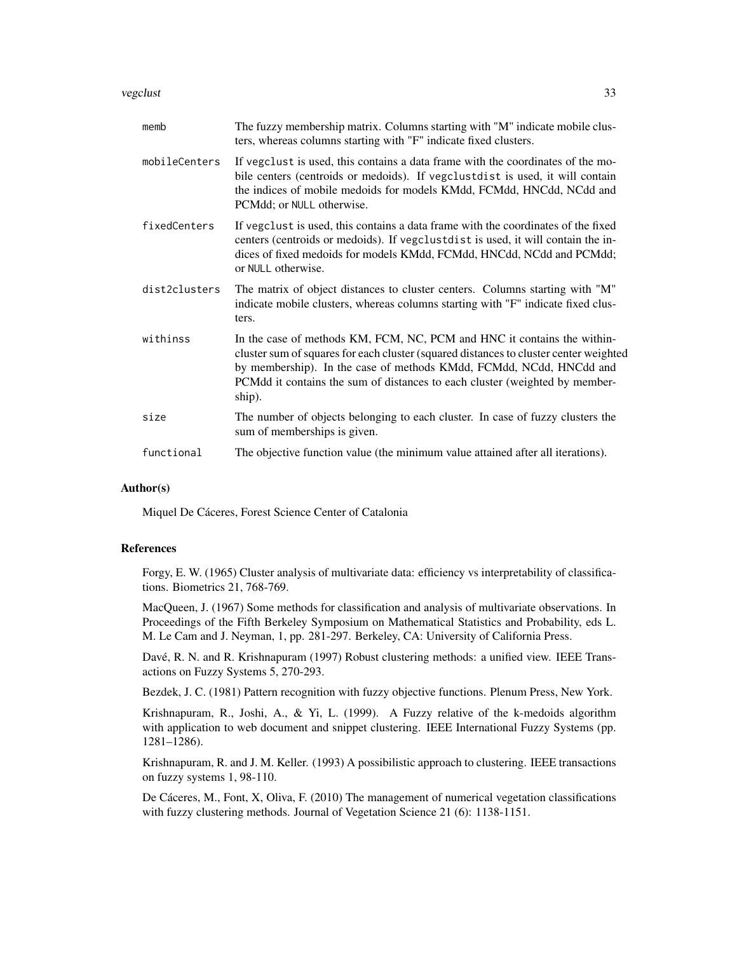#### vegclust 33

| memb          | The fuzzy membership matrix. Columns starting with "M" indicate mobile clus-<br>ters, whereas columns starting with "F" indicate fixed clusters.                                                                                                                                                                                 |
|---------------|----------------------------------------------------------------------------------------------------------------------------------------------------------------------------------------------------------------------------------------------------------------------------------------------------------------------------------|
| mobileCenters | If vegclust is used, this contains a data frame with the coordinates of the mo-<br>bile centers (centroids or medoids). If vegclustdist is used, it will contain<br>the indices of mobile medoids for models KMdd, FCMdd, HNCdd, NCdd and<br>PCMdd; or NULL otherwise.                                                           |
| fixedCenters  | If vegclust is used, this contains a data frame with the coordinates of the fixed<br>centers (centroids or medoids). If vegclustdist is used, it will contain the in-<br>dices of fixed medoids for models KMdd, FCMdd, HNCdd, NCdd and PCMdd;<br>or NULL otherwise.                                                             |
| dist2clusters | The matrix of object distances to cluster centers. Columns starting with "M"<br>indicate mobile clusters, whereas columns starting with "F" indicate fixed clus-<br>ters.                                                                                                                                                        |
| withinss      | In the case of methods KM, FCM, NC, PCM and HNC it contains the within-<br>cluster sum of squares for each cluster (squared distances to cluster center weighted<br>by membership). In the case of methods KMdd, FCMdd, NCdd, HNCdd and<br>PCMdd it contains the sum of distances to each cluster (weighted by member-<br>ship). |
| size          | The number of objects belonging to each cluster. In case of fuzzy clusters the<br>sum of memberships is given.                                                                                                                                                                                                                   |
| functional    | The objective function value (the minimum value attained after all iterations).                                                                                                                                                                                                                                                  |

#### Author(s)

Miquel De Cáceres, Forest Science Center of Catalonia

#### References

Forgy, E. W. (1965) Cluster analysis of multivariate data: efficiency vs interpretability of classifications. Biometrics 21, 768-769.

MacQueen, J. (1967) Some methods for classification and analysis of multivariate observations. In Proceedings of the Fifth Berkeley Symposium on Mathematical Statistics and Probability, eds L. M. Le Cam and J. Neyman, 1, pp. 281-297. Berkeley, CA: University of California Press.

Davé, R. N. and R. Krishnapuram (1997) Robust clustering methods: a unified view. IEEE Transactions on Fuzzy Systems 5, 270-293.

Bezdek, J. C. (1981) Pattern recognition with fuzzy objective functions. Plenum Press, New York.

Krishnapuram, R., Joshi, A., & Yi, L. (1999). A Fuzzy relative of the k-medoids algorithm with application to web document and snippet clustering. IEEE International Fuzzy Systems (pp. 1281–1286).

Krishnapuram, R. and J. M. Keller. (1993) A possibilistic approach to clustering. IEEE transactions on fuzzy systems 1, 98-110.

De Cáceres, M., Font, X, Oliva, F. (2010) The management of numerical vegetation classifications with fuzzy clustering methods. Journal of Vegetation Science 21 (6): 1138-1151.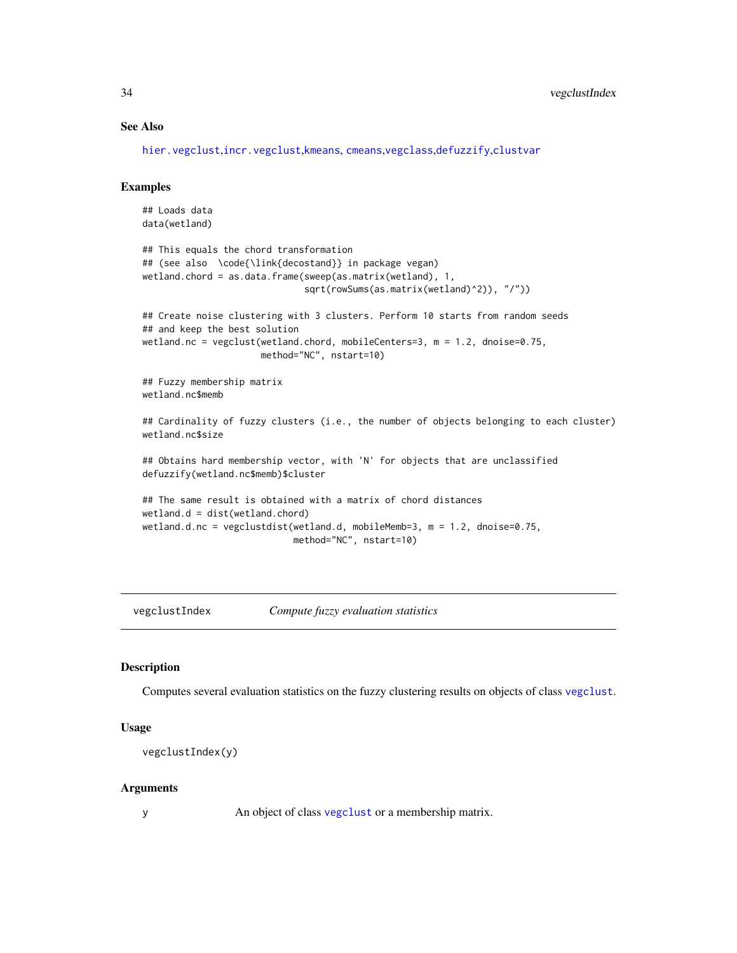# See Also

[hier.vegclust](#page-17-1),[incr.vegclust](#page-18-1),[kmeans](#page-0-0), [cmeans](#page-0-0),[vegclass](#page-28-1),[defuzzify](#page-14-1),[clustvar](#page-10-1)

#### Examples

```
## Loads data
data(wetland)
## This equals the chord transformation
## (see also \code{\link{decostand}} in package vegan)
wetland.chord = as.data.frame(sweep(as.matrix(wetland), 1,
                              sqrt(rowSums(as.matrix(wetland)^2)), "/"))
## Create noise clustering with 3 clusters. Perform 10 starts from random seeds
## and keep the best solution
wetland.nc = vegclust(wetland.chord, mobileCenters=3, m = 1.2, dnoise=0.75,
                      method="NC", nstart=10)
## Fuzzy membership matrix
wetland.nc$memb
## Cardinality of fuzzy clusters (i.e., the number of objects belonging to each cluster)
wetland.nc$size
## Obtains hard membership vector, with 'N' for objects that are unclassified
defuzzify(wetland.nc$memb)$cluster
## The same result is obtained with a matrix of chord distances
wetland.d = dist(wetland.chord)
wetland.d.nc = vegclustdist(wetland.d, mobileMemb=3, m = 1.2, dnoise=0.75,
                            method="NC", nstart=10)
```
vegclustIndex *Compute fuzzy evaluation statistics*

# Description

Computes several evaluation statistics on the fuzzy clustering results on objects of class [vegclust](#page-30-1).

#### Usage

vegclustIndex(y)

#### Arguments

y An object of class [vegclust](#page-30-1) or a membership matrix.

<span id="page-33-0"></span>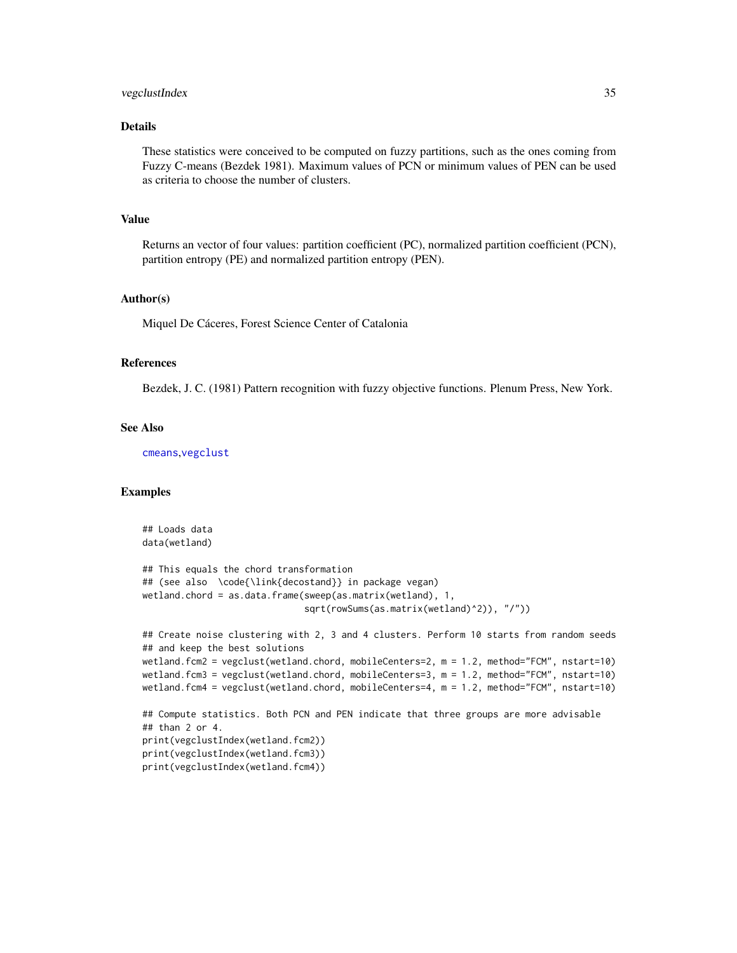#### <span id="page-34-0"></span>vegclustIndex 35

# Details

These statistics were conceived to be computed on fuzzy partitions, such as the ones coming from Fuzzy C-means (Bezdek 1981). Maximum values of PCN or minimum values of PEN can be used as criteria to choose the number of clusters.

# Value

Returns an vector of four values: partition coefficient (PC), normalized partition coefficient (PCN), partition entropy (PE) and normalized partition entropy (PEN).

#### Author(s)

Miquel De Cáceres, Forest Science Center of Catalonia

# References

Bezdek, J. C. (1981) Pattern recognition with fuzzy objective functions. Plenum Press, New York.

#### See Also

[cmeans](#page-0-0),[vegclust](#page-30-1)

```
## Loads data
data(wetland)
## This equals the chord transformation
## (see also \code{\link{decostand}} in package vegan)
wetland.chord = as.data.frame(sweep(as.matrix(wetland), 1,
                              sqrt(rowSums(as.matrix(wetland)^2)), "/"))
## Create noise clustering with 2, 3 and 4 clusters. Perform 10 starts from random seeds
## and keep the best solutions
wetland.fcm2 = vegclust(wetland.chord, mobileCenters=2, m = 1.2, method="FCM", nstart=10)
wetland.fcm3 = vegclust(wetland.chord, mobileCenters=3, m = 1.2, method="FCM", nstart=10)
wetland.fcm4 = vegclust(wetland.chord, mobileCenters=4, m = 1.2, method="FCM", nstart=10)
## Compute statistics. Both PCN and PEN indicate that three groups are more advisable
## than 2 or 4.
print(vegclustIndex(wetland.fcm2))
print(vegclustIndex(wetland.fcm3))
print(vegclustIndex(wetland.fcm4))
```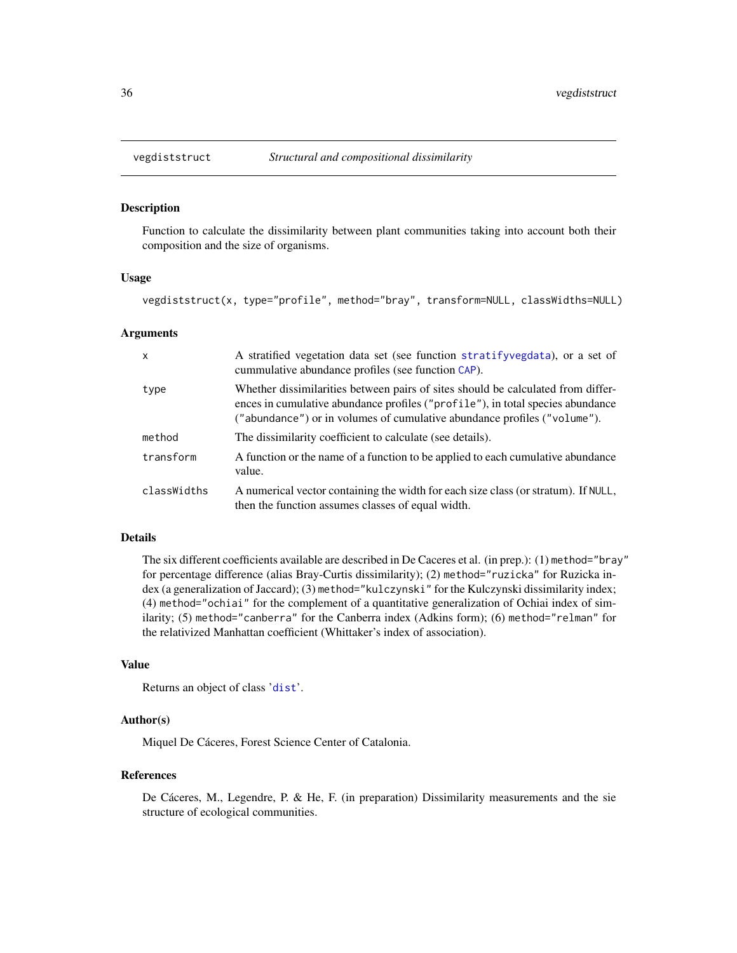#### **Description**

Function to calculate the dissimilarity between plant communities taking into account both their composition and the size of organisms.

# Usage

vegdiststruct(x, type="profile", method="bray", transform=NULL, classWidths=NULL)

#### Arguments

| $\mathsf{x}$ | A stratified vegetation data set (see function stratifyvegdata), or a set of<br>cummulative abundance profiles (see function CAP).                                                                                                             |
|--------------|------------------------------------------------------------------------------------------------------------------------------------------------------------------------------------------------------------------------------------------------|
| type         | Whether dissimilarities between pairs of sites should be calculated from differ-<br>ences in cumulative abundance profiles ("profile"), in total species abundance<br>("abundance") or in volumes of cumulative abundance profiles ("volume"). |
| method       | The dissimilarity coefficient to calculate (see details).                                                                                                                                                                                      |
| transform    | A function or the name of a function to be applied to each cumulative abundance<br>value.                                                                                                                                                      |
| classWidths  | A numerical vector containing the width for each size class (or stratum). If NULL,<br>then the function assumes classes of equal width.                                                                                                        |

# Details

The six different coefficients available are described in De Caceres et al. (in prep.): (1) method="bray" for percentage difference (alias Bray-Curtis dissimilarity); (2) method="ruzicka" for Ruzicka index (a generalization of Jaccard); (3) method="kulczynski" for the Kulczynski dissimilarity index; (4) method="ochiai" for the complement of a quantitative generalization of Ochiai index of similarity; (5) method="canberra" for the Canberra index (Adkins form); (6) method="relman" for the relativized Manhattan coefficient (Whittaker's index of association).

# Value

Returns an object of class '[dist](#page-0-0)'.

#### Author(s)

Miquel De Cáceres, Forest Science Center of Catalonia.

#### References

De Cáceres, M., Legendre, P. & He, F. (in preparation) Dissimilarity measurements and the sie structure of ecological communities.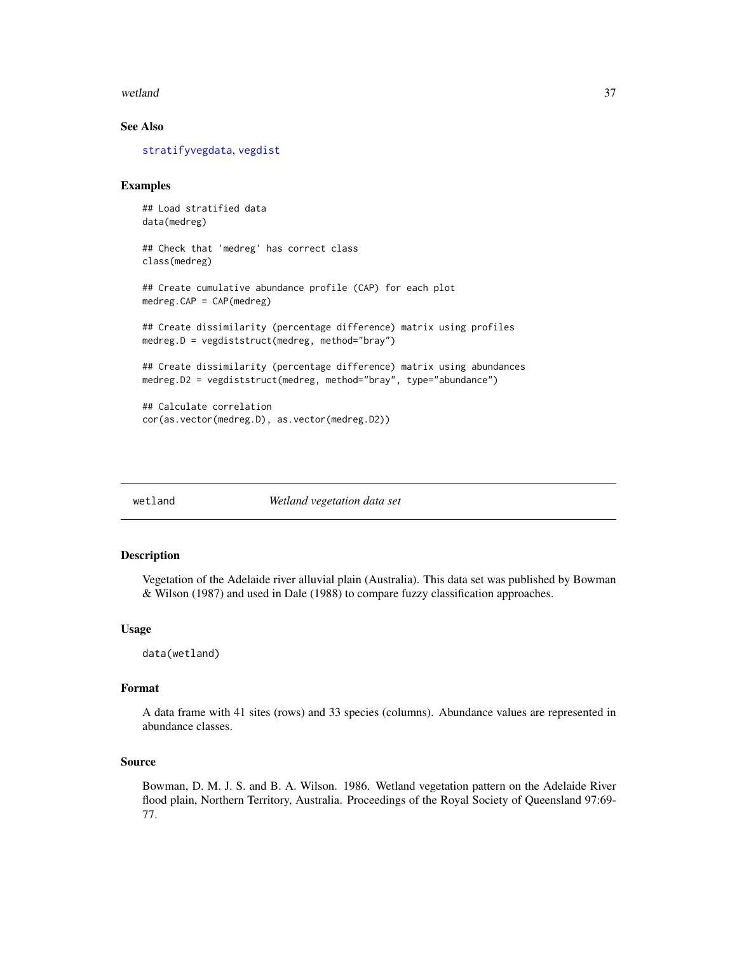#### <span id="page-36-0"></span>wetland 37

# See Also

[stratifyvegdata](#page-25-1), [vegdist](#page-0-0)

# Examples

```
## Load stratified data
data(medreg)
```

```
## Check that 'medreg' has correct class
class(medreg)
```

```
## Create cumulative abundance profile (CAP) for each plot
medreg.CAP = CAP(medreg)
```

```
## Create dissimilarity (percentage difference) matrix using profiles
medreg.D = vegdiststruct(medreg, method="bray")
```

```
## Create dissimilarity (percentage difference) matrix using abundances
medreg.D2 = vegdiststruct(medreg, method="bray", type="abundance")
```

```
## Calculate correlation
cor(as.vector(medreg.D), as.vector(medreg.D2))
```
wetland *Wetland vegetation data set*

#### Description

Vegetation of the Adelaide river alluvial plain (Australia). This data set was published by Bowman & Wilson (1987) and used in Dale (1988) to compare fuzzy classification approaches.

#### Usage

data(wetland)

# Format

A data frame with 41 sites (rows) and 33 species (columns). Abundance values are represented in abundance classes.

#### Source

Bowman, D. M. J. S. and B. A. Wilson. 1986. Wetland vegetation pattern on the Adelaide River flood plain, Northern Territory, Australia. Proceedings of the Royal Society of Queensland 97:69- 77.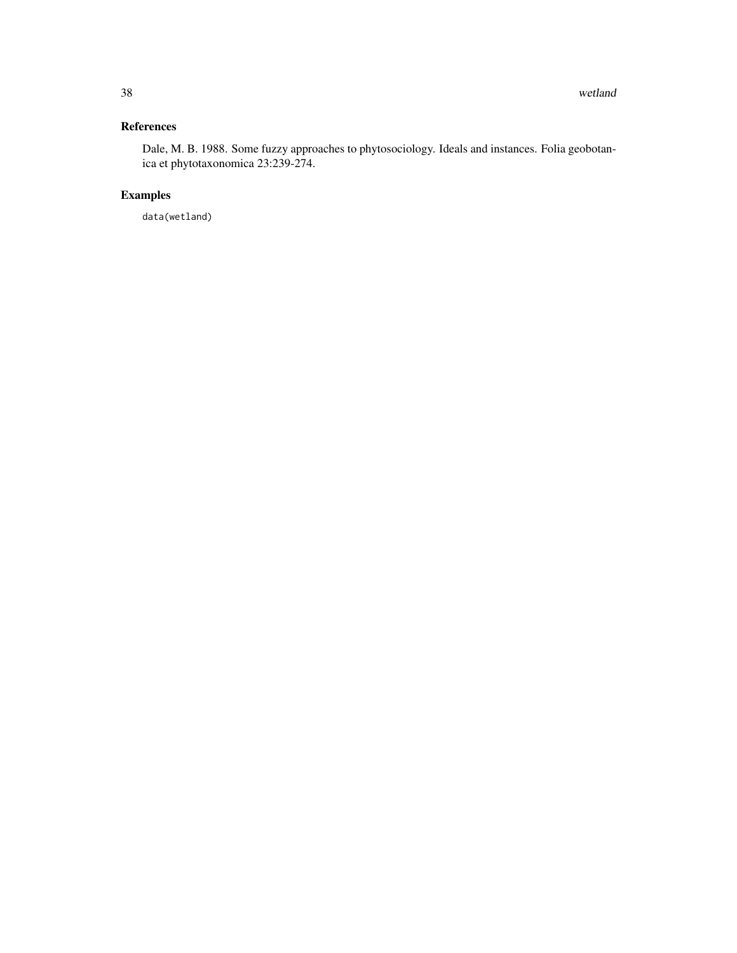# References

Dale, M. B. 1988. Some fuzzy approaches to phytosociology. Ideals and instances. Folia geobotanica et phytotaxonomica 23:239-274.

# Examples

data(wetland)